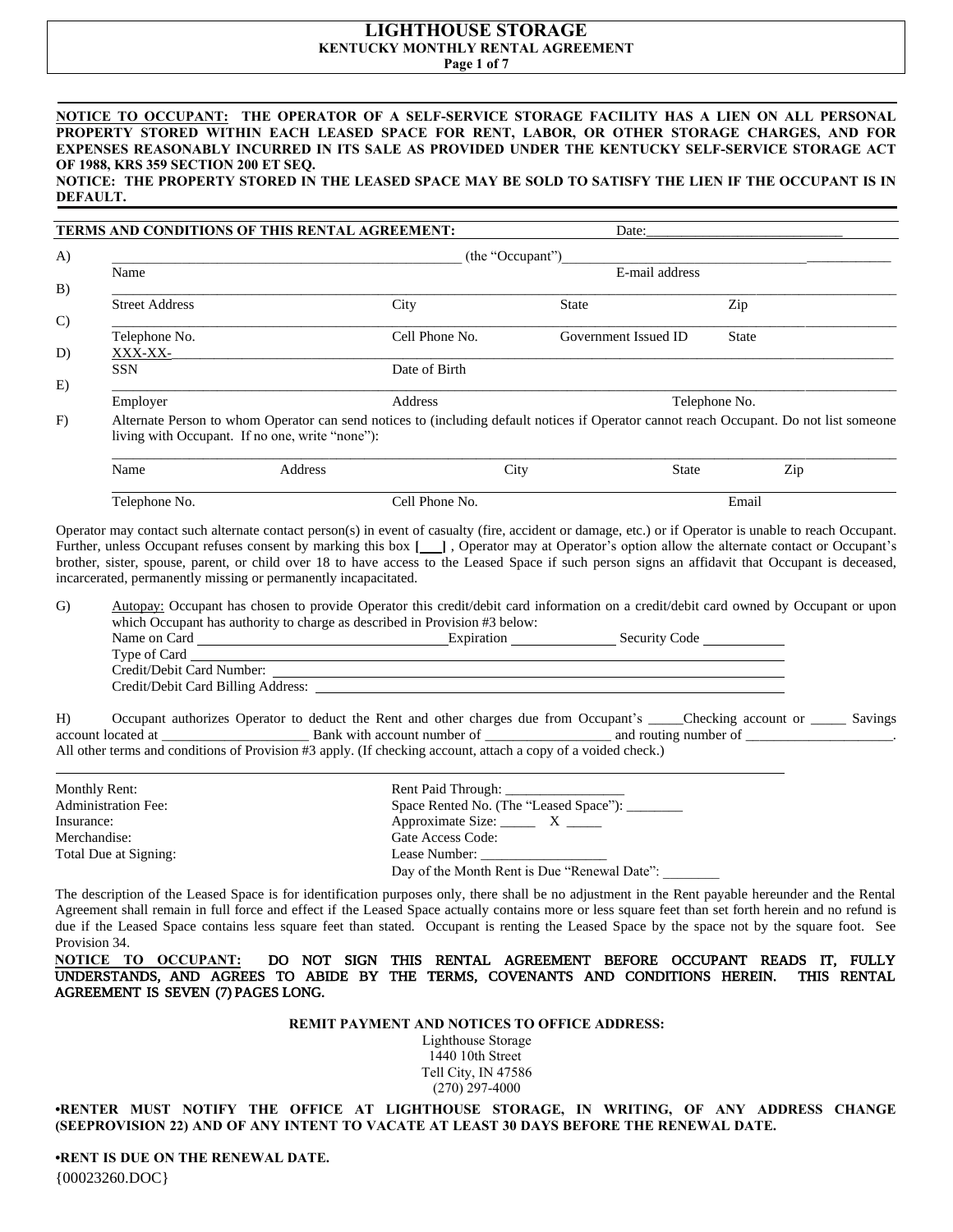# **LIGHTHOUSE STORAGE KENTUCKY MONTHLY RENTAL AGREEMENT**

**Page 1 of 7**

## **NOTICE TO OCCUPANT: THE OPERATOR OF A SELF-SERVICE STORAGE FACILITY HAS A LIEN ON ALL PERSONAL PROPERTY STORED WITHIN EACH LEASED SPACE FOR RENT, LABOR, OR OTHER STORAGE CHARGES, AND FOR EXPENSES REASONABLY INCURRED IN ITS SALE AS PROVIDED UNDER THE KENTUCKY SELF-SERVICE STORAGE ACT OF 1988, KRS 359 SECTION 200 ET SEQ.**

#### **NOTICE: THE PROPERTY STORED IN THE LEASED SPACE MAY BE SOLD TO SATISFY THE LIEN IF THE OCCUPANT IS IN DEFAULT.**

|               |                       | TERMS AND CONDITIONS OF THIS RENTAL AGREEMENT:                                                                                                                                             |                  | Date:                |               |
|---------------|-----------------------|--------------------------------------------------------------------------------------------------------------------------------------------------------------------------------------------|------------------|----------------------|---------------|
| $\bf{A}$      |                       |                                                                                                                                                                                            | (the "Occupant") |                      |               |
|               | Name                  |                                                                                                                                                                                            |                  | E-mail address       |               |
| B)            |                       |                                                                                                                                                                                            |                  |                      |               |
|               | <b>Street Address</b> | City                                                                                                                                                                                       |                  | <b>State</b>         | Zip           |
| $\mathcal{C}$ | Telephone No.         |                                                                                                                                                                                            | Cell Phone No.   | Government Issued ID | State         |
| D)            | XXX-XX-               |                                                                                                                                                                                            |                  |                      |               |
|               | <b>SSN</b>            |                                                                                                                                                                                            | Date of Birth    |                      |               |
| E)            |                       |                                                                                                                                                                                            |                  |                      |               |
|               | Employer              | Address                                                                                                                                                                                    |                  |                      | Telephone No. |
| F)            |                       | Alternate Person to whom Operator can send notices to (including default notices if Operator cannot reach Occupant. Do not list someone<br>living with Occupant. If no one, write "none"): |                  |                      |               |
|               | Name                  | Address                                                                                                                                                                                    | City             | <b>State</b>         | Zip           |

Telephone No. **Cell Phone No.** Cell Phone No. **Email** 

Operator may contact such alternate contact person(s) in event of casualty (fire, accident or damage, etc.) or if Operator is unable to reach Occupant. Further, unless Occupant refuses consent by marking this box [10], Operator may at Operator's option allow the alternate contact or Occupant's brother, sister, spouse, parent, or child over 18 to have access to the Leased Space if such person signs an affidavit that Occupant is deceased, incarcerated, permanently missing or permanently incapacitated.

G) Autopay: Occupant has chosen to provide Operator this credit/debit card information on a credit/debit card owned by Occupant or upon which Occupant has authority to charge as described in Provision #3 below:

| Name on Card                       | Expiration | Security Code |  |  |
|------------------------------------|------------|---------------|--|--|
| Type of Card                       |            |               |  |  |
| Credit/Debit Card Number:          |            |               |  |  |
| Credit/Debit Card Billing Address: |            |               |  |  |

H) Occupant authorizes Operator to deduct the Rent and other charges due from Occupant's \_\_\_\_\_Checking account or \_\_\_\_\_ Savings account located at \_\_\_\_\_\_\_\_\_\_\_\_\_\_\_\_\_\_\_\_\_ Bank with account number of \_\_\_\_\_\_\_\_\_\_\_\_\_\_\_\_\_\_ and routing number of \_\_\_\_\_\_\_\_\_\_\_\_\_\_\_\_\_\_\_\_\_. All other terms and conditions of Provision #3 apply. (If checking account, attach a copy of a voided check.)

| Monthly Rent:              | Rent Paid Through:                           |
|----------------------------|----------------------------------------------|
| <b>Administration Fee:</b> | Space Rented No. (The "Leased Space"):       |
| Insurance:                 | Approximate Size: $X \t M$                   |
| Merchandise:               | Gate Access Code:                            |
| Total Due at Signing:      | Lease Number:                                |
|                            | Day of the Month Rent is Due "Renewal Date": |

The description of the Leased Space is for identification purposes only, there shall be no adjustment in the Rent payable hereunder and the Rental Agreement shall remain in full force and effect if the Leased Space actually contains more or less square feet than set forth herein and no refund is due if the Leased Space contains less square feet than stated. Occupant is renting the Leased Space by the space not by the square foot. See Provision 34.

**NOTICE TO OCCUPANT:** DO NOT SIGN THIS RENTAL AGREEMENT BEFORE OCCUPANT READS IT, FULLY UNDERSTANDS, AND AGREES TO ABIDE BY THE TERMS, COVENANTS AND CONDITIONS HEREIN. THIS RENTAL AGREEMENT IS SEVEN (7) PAGES LONG.

**REMIT PAYMENT AND NOTICES TO OFFICE ADDRESS:**

Lighthouse Storage 1440 10th Street Tell City, IN 47586 (270) 297-4000

**•RENTER MUST NOTIFY THE OFFICE AT LIGHTHOUSE STORAGE, IN WRITING, OF ANY ADDRESS CHANGE (SEEPROVISION 22) AND OF ANY INTENT TO VACATE AT LEAST 30 DAYS BEFORE THE RENEWAL DATE.**

{00023260.DOC} **•RENT IS DUE ON THE RENEWAL DATE.**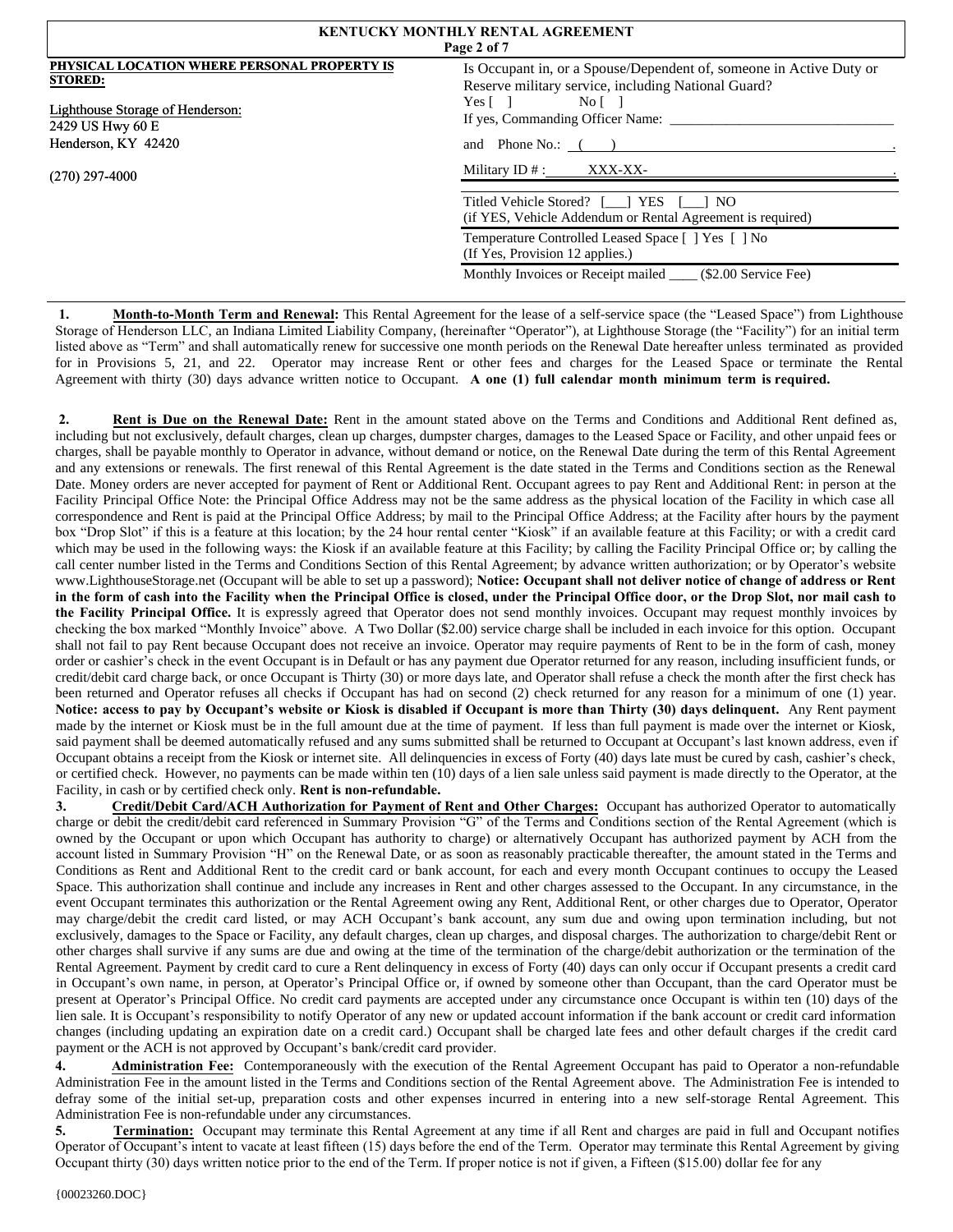| <b>KENTUCKY MONTHLY RENTAL AGREEMENT</b><br>Page 2 of 7                                                                                       |                                                                                                                                                                                                                                           |  |  |  |
|-----------------------------------------------------------------------------------------------------------------------------------------------|-------------------------------------------------------------------------------------------------------------------------------------------------------------------------------------------------------------------------------------------|--|--|--|
| PHYSICAL LOCATION WHERE PERSONAL PROPERTY IS<br><b>STORED:</b><br>Lighthouse Storage of Henderson:<br>2429 US Hwy 60 E<br>Henderson, KY 42420 | Is Occupant in, or a Spouse/Dependent of, someone in Active Duty or<br>Reserve military service, including National Guard?<br>Yes $\lceil \quad \rceil$<br>Nof <sub>1</sub><br>If yes, Commanding Officer Name:<br>and Phone No.: $($ $)$ |  |  |  |
| $(270)$ 297-4000                                                                                                                              | Military $ID #:$ XXX-XX-                                                                                                                                                                                                                  |  |  |  |
|                                                                                                                                               | Titled Vehicle Stored? [__] YES [__] NO<br>(if YES, Vehicle Addendum or Rental Agreement is required)                                                                                                                                     |  |  |  |
|                                                                                                                                               | Temperature Controlled Leased Space [ ] Yes [ ] No<br>(If Yes, Provision 12 applies.)                                                                                                                                                     |  |  |  |
|                                                                                                                                               | Monthly Invoices or Receipt mailed _____ (\$2.00 Service Fee)                                                                                                                                                                             |  |  |  |

1. **Month-to-Month Term and Renewal:** This Rental Agreement for the lease of a self-service space (the "Leased Space") from Lighthouse Storage of Henderson LLC, an Indiana Limited Liability Company, (hereinafter "Operator"), at Lighthouse Storage (the "Facility") for an initial term listed above as "Term" and shall automatically renew for successive one month periods on the Renewal Date hereafter unless terminated as provided for in Provisions 5, 21, and 22. Operator may increase Rent or other fees and charges for the Leased Space or terminate the Rental Agreement with thirty (30) days advance written notice to Occupant. **A one (1) full calendar month minimum term is required.**

**2. Rent is Due on the Renewal Date:** Rent in the amount stated above on the Terms and Conditions and Additional Rent defined as, including but not exclusively, default charges, clean up charges, dumpster charges, damages to the Leased Space or Facility, and other unpaid fees or charges, shall be payable monthly to Operator in advance, without demand or notice, on the Renewal Date during the term of this Rental Agreement and any extensions or renewals. The first renewal of this Rental Agreement is the date stated in the Terms and Conditions section as the Renewal Date. Money orders are never accepted for payment of Rent or Additional Rent. Occupant agrees to pay Rent and Additional Rent: in person at the Facility Principal Office Note: the Principal Office Address may not be the same address as the physical location of the Facility in which case all correspondence and Rent is paid at the Principal Office Address; by mail to the Principal Office Address; at the Facility after hours by the payment box "Drop Slot" if this is a feature at this location; by the 24 hour rental center "Kiosk" if an available feature at this Facility; or with a credit card which may be used in the following ways: the Kiosk if an available feature at this Facility; by calling the Facility Principal Office or; by calling the call center number listed in the Terms and Conditions Section of this Rental Agreement; by advance written authorization; or by Operator's website www.LighthouseStorage.net (Occupant will be able to set up a password); **Notice: Occupant shall not deliver notice of change of address or Rent in the form of cash into the Facility when the Principal Office is closed, under the Principal Office door, or the Drop Slot, nor mail cash to the Facility Principal Office.** It is expressly agreed that Operator does not send monthly invoices. Occupant may request monthly invoices by checking the box marked "Monthly Invoice" above. A Two Dollar (\$2.00) service charge shall be included in each invoice for this option. Occupant shall not fail to pay Rent because Occupant does not receive an invoice. Operator may require payments of Rent to be in the form of cash, money order or cashier's check in the event Occupant is in Default or has any payment due Operator returned for any reason, including insufficient funds, or credit/debit card charge back, or once Occupant is Thirty (30) or more days late, and Operator shall refuse a check the month after the first check has been returned and Operator refuses all checks if Occupant has had on second (2) check returned for any reason for a minimum of one (1) year. **Notice: access to pay by Occupant's website or Kiosk is disabled if Occupant is more than Thirty (30) days delinquent.** Any Rent payment made by the internet or Kiosk must be in the full amount due at the time of payment. If less than full payment is made over the internet or Kiosk, said payment shall be deemed automatically refused and any sums submitted shall be returned to Occupant at Occupant's last known address, even if Occupant obtains a receipt from the Kiosk or internet site. All delinquencies in excess of Forty (40) days late must be cured by cash, cashier's check, or certified check. However, no payments can be made within ten (10) days of a lien sale unless said payment is made directly to the Operator, at the Facility, in cash or by certified check only. **Rent is non-refundable.**

**3. Credit/Debit Card/ACH Authorization for Payment of Rent and Other Charges:** Occupant has authorized Operator to automatically charge or debit the credit/debit card referenced in Summary Provision "G" of the Terms and Conditions section of the Rental Agreement (which is owned by the Occupant or upon which Occupant has authority to charge) or alternatively Occupant has authorized payment by ACH from the account listed in Summary Provision "H" on the Renewal Date, or as soon as reasonably practicable thereafter, the amount stated in the Terms and Conditions as Rent and Additional Rent to the credit card or bank account, for each and every month Occupant continues to occupy the Leased Space. This authorization shall continue and include any increases in Rent and other charges assessed to the Occupant. In any circumstance, in the event Occupant terminates this authorization or the Rental Agreement owing any Rent, Additional Rent, or other charges due to Operator, Operator may charge/debit the credit card listed, or may ACH Occupant's bank account, any sum due and owing upon termination including, but not exclusively, damages to the Space or Facility, any default charges, clean up charges, and disposal charges. The authorization to charge/debit Rent or other charges shall survive if any sums are due and owing at the time of the termination of the charge/debit authorization or the termination of the Rental Agreement. Payment by credit card to cure a Rent delinquency in excess of Forty (40) days can only occur if Occupant presents a credit card in Occupant's own name, in person, at Operator's Principal Office or, if owned by someone other than Occupant, than the card Operator must be present at Operator's Principal Office. No credit card payments are accepted under any circumstance once Occupant is within ten (10) days of the lien sale. It is Occupant's responsibility to notify Operator of any new or updated account information if the bank account or credit card information changes (including updating an expiration date on a credit card.) Occupant shall be charged late fees and other default charges if the credit card payment or the ACH is not approved by Occupant's bank/credit card provider.

**4. Administration Fee:** Contemporaneously with the execution of the Rental Agreement Occupant has paid to Operator a non-refundable Administration Fee in the amount listed in the Terms and Conditions section of the Rental Agreement above. The Administration Fee is intended to defray some of the initial set-up, preparation costs and other expenses incurred in entering into a new self-storage Rental Agreement. This Administration Fee is non-refundable under any circumstances.

**5. Termination:** Occupant may terminate this Rental Agreement at any time if all Rent and charges are paid in full and Occupant notifies Operator of Occupant's intent to vacate at least fifteen (15) days before the end of the Term. Operator may terminate this Rental Agreement by giving Occupant thirty (30) days written notice prior to the end of the Term. If proper notice is not if given, a Fifteen (\$15.00) dollar fee for any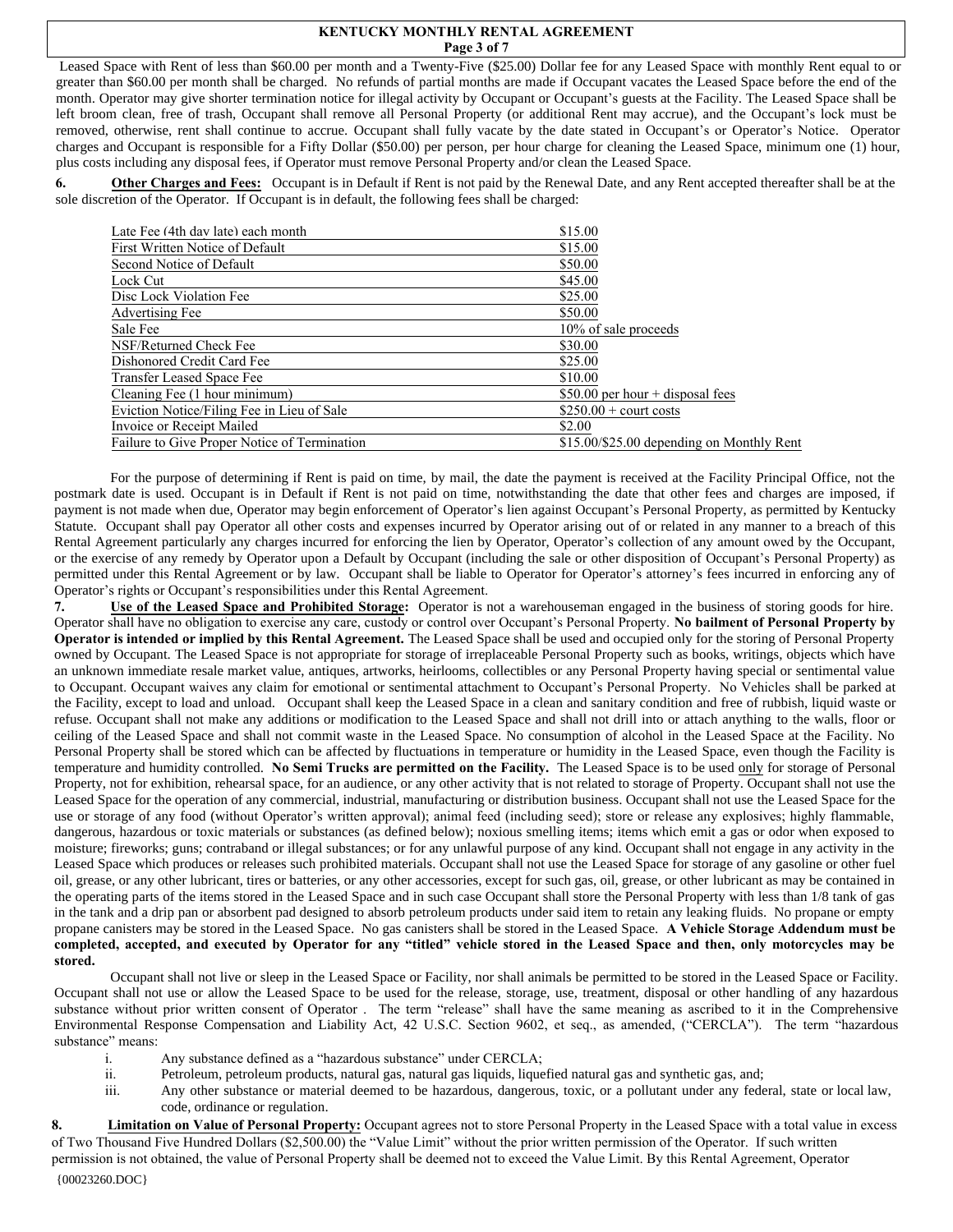#### **KENTUCKY MONTHLY RENTAL AGREEMENT Page 3 of 7**

Leased Space with Rent of less than \$60.00 per month and a Twenty-Five (\$25.00) Dollar fee for any Leased Space with monthly Rent equal to or greater than \$60.00 per month shall be charged. No refunds of partial months are made if Occupant vacates the Leased Space before the end of the month. Operator may give shorter termination notice for illegal activity by Occupant or Occupant's guests at the Facility. The Leased Space shall be left broom clean, free of trash, Occupant shall remove all Personal Property (or additional Rent may accrue), and the Occupant's lock must be removed, otherwise, rent shall continue to accrue. Occupant shall fully vacate by the date stated in Occupant's or Operator's Notice. Operator charges and Occupant is responsible for a Fifty Dollar (\$50.00) per person, per hour charge for cleaning the Leased Space, minimum one (1) hour, plus costs including any disposal fees, if Operator must remove Personal Property and/or clean the Leased Space.

**6. Other Charges and Fees:** Occupant is in Default if Rent is not paid by the Renewal Date, and any Rent accepted thereafter shall be at the sole discretion of the Operator. If Occupant is in default, the following fees shall be charged:

| Late Fee (4th day late) each month           | \$15.00                                   |
|----------------------------------------------|-------------------------------------------|
| First Written Notice of Default              | \$15.00                                   |
| Second Notice of Default                     | \$50.00                                   |
| Lock Cut                                     | \$45.00                                   |
| Disc Lock Violation Fee                      | \$25.00                                   |
| Advertising Fee                              | \$50.00                                   |
| Sale Fee                                     | 10% of sale proceeds                      |
| NSF/Returned Check Fee                       | \$30.00                                   |
| Dishonored Credit Card Fee                   | \$25.00                                   |
| Transfer Leased Space Fee                    | \$10.00                                   |
| Cleaning Fee (1 hour minimum)                | \$50.00 per hour $+$ disposal fees        |
| Eviction Notice/Filing Fee in Lieu of Sale   | $$250.00 +$ court costs                   |
| Invoice or Receipt Mailed                    | \$2.00                                    |
| Failure to Give Proper Notice of Termination | \$15.00/\$25.00 depending on Monthly Rent |

For the purpose of determining if Rent is paid on time, by mail, the date the payment is received at the Facility Principal Office, not the postmark date is used. Occupant is in Default if Rent is not paid on time, notwithstanding the date that other fees and charges are imposed, if payment is not made when due, Operator may begin enforcement of Operator's lien against Occupant's Personal Property, as permitted by Kentucky Statute. Occupant shall pay Operator all other costs and expenses incurred by Operator arising out of or related in any manner to a breach of this Rental Agreement particularly any charges incurred for enforcing the lien by Operator, Operator's collection of any amount owed by the Occupant, or the exercise of any remedy by Operator upon a Default by Occupant (including the sale or other disposition of Occupant's Personal Property) as permitted under this Rental Agreement or by law. Occupant shall be liable to Operator for Operator's attorney's fees incurred in enforcing any of Operator's rights or Occupant's responsibilities under this Rental Agreement.

**7. Use of the Leased Space and Prohibited Storage:** Operator is not a warehouseman engaged in the business of storing goods for hire. Operator shall have no obligation to exercise any care, custody or control over Occupant's Personal Property. **No bailment of Personal Property by Operator is intended or implied by this Rental Agreement.** The Leased Space shall be used and occupied only for the storing of Personal Property owned by Occupant. The Leased Space is not appropriate for storage of irreplaceable Personal Property such as books, writings, objects which have an unknown immediate resale market value, antiques, artworks, heirlooms, collectibles or any Personal Property having special or sentimental value to Occupant. Occupant waives any claim for emotional or sentimental attachment to Occupant's Personal Property. No Vehicles shall be parked at the Facility, except to load and unload. Occupant shall keep the Leased Space in a clean and sanitary condition and free of rubbish, liquid waste or refuse. Occupant shall not make any additions or modification to the Leased Space and shall not drill into or attach anything to the walls, floor or ceiling of the Leased Space and shall not commit waste in the Leased Space. No consumption of alcohol in the Leased Space at the Facility. No Personal Property shall be stored which can be affected by fluctuations in temperature or humidity in the Leased Space, even though the Facility is temperature and humidity controlled. **No Semi Trucks are permitted on the Facility.** The Leased Space is to be used only for storage of Personal Property, not for exhibition, rehearsal space, for an audience, or any other activity that is not related to storage of Property. Occupant shall not use the Leased Space for the operation of any commercial, industrial, manufacturing or distribution business. Occupant shall not use the Leased Space for the use or storage of any food (without Operator's written approval); animal feed (including seed); store or release any explosives; highly flammable, dangerous, hazardous or toxic materials or substances (as defined below); noxious smelling items; items which emit a gas or odor when exposed to moisture; fireworks; guns; contraband or illegal substances; or for any unlawful purpose of any kind. Occupant shall not engage in any activity in the Leased Space which produces or releases such prohibited materials. Occupant shall not use the Leased Space for storage of any gasoline or other fuel oil, grease, or any other lubricant, tires or batteries, or any other accessories, except for such gas, oil, grease, or other lubricant as may be contained in the operating parts of the items stored in the Leased Space and in such case Occupant shall store the Personal Property with less than 1/8 tank of gas in the tank and a drip pan or absorbent pad designed to absorb petroleum products under said item to retain any leaking fluids. No propane or empty propane canisters may be stored in the Leased Space. No gas canisters shall be stored in the Leased Space. **A Vehicle Storage Addendum must be completed, accepted, and executed by Operator for any "titled" vehicle stored in the Leased Space and then, only motorcycles may be stored.**

Occupant shall not live or sleep in the Leased Space or Facility, nor shall animals be permitted to be stored in the Leased Space or Facility. Occupant shall not use or allow the Leased Space to be used for the release, storage, use, treatment, disposal or other handling of any hazardous substance without prior written consent of Operator . The term "release" shall have the same meaning as ascribed to it in the Comprehensive Environmental Response Compensation and Liability Act, 42 U.S.C. Section 9602, et seq., as amended, ("CERCLA"). The term "hazardous substance" means:

- i. Any substance defined as a "hazardous substance" under CERCLA;
- ii. Petroleum, petroleum products, natural gas, natural gas liquids, liquefied natural gas and synthetic gas, and;
- iii. Any other substance or material deemed to be hazardous, dangerous, toxic, or a pollutant under any federal, state or local law, code, ordinance or regulation.

8. **Limitation on Value of Personal Property:** Occupant agrees not to store Personal Property in the Leased Space with a total value in excess of Two Thousand Five Hundred Dollars (\$2,500.00) the "Value Limit" without the prior written permission of the Operator. If such written permission is not obtained, the value of Personal Property shall be deemed not to exceed the Value Limit. By this Rental Agreement, Operator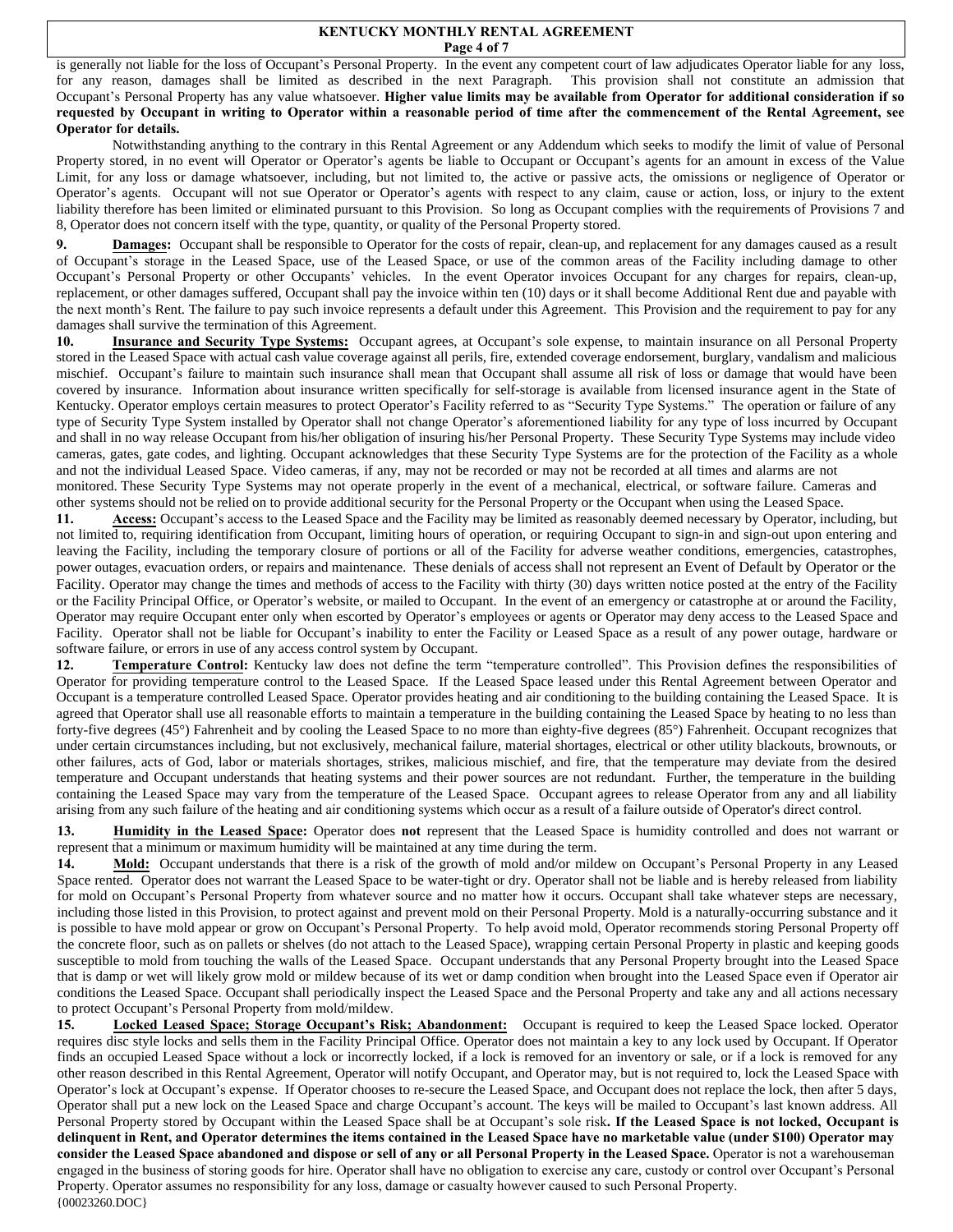#### **KENTUCKY MONTHLY RENTAL AGREEMENT Page 4 of 7**

is generally not liable for the loss of Occupant's Personal Property. In the event any competent court of law adjudicates Operator liable for any loss, for any reason, damages shall be limited as described in the next Paragraph. This provision shall not constitute an admission that Occupant's Personal Property has any value whatsoever. **Higher value limits may be available from Operator for additional consideration if so requested by Occupant in writing to Operator within a reasonable period of time after the commencement of the Rental Agreement, see Operator for details.** 

Notwithstanding anything to the contrary in this Rental Agreement or any Addendum which seeks to modify the limit of value of Personal Property stored, in no event will Operator or Operator's agents be liable to Occupant or Occupant's agents for an amount in excess of the Value Limit, for any loss or damage whatsoever, including, but not limited to, the active or passive acts, the omissions or negligence of Operator or Operator's agents. Occupant will not sue Operator or Operator's agents with respect to any claim, cause or action, loss, or injury to the extent liability therefore has been limited or eliminated pursuant to this Provision. So long as Occupant complies with the requirements of Provisions 7 and 8, Operator does not concern itself with the type, quantity, or quality of the Personal Property stored.

**9. Damages:** Occupant shall be responsible to Operator for the costs of repair, clean-up, and replacement for any damages caused as a result of Occupant's storage in the Leased Space, use of the Leased Space, or use of the common areas of the Facility including damage to other Occupant's Personal Property or other Occupants' vehicles. In the event Operator invoices Occupant for any charges for repairs, clean-up, replacement, or other damages suffered, Occupant shall pay the invoice within ten (10) days or it shall become Additional Rent due and payable with the next month's Rent. The failure to pay such invoice represents a default under this Agreement. This Provision and the requirement to pay for any damages shall survive the termination of this Agreement.

**10. Insurance and Security Type Systems:** Occupant agrees, at Occupant's sole expense, to maintain insurance on all Personal Property stored in the Leased Space with actual cash value coverage against all perils, fire, extended coverage endorsement, burglary, vandalism and malicious mischief. Occupant's failure to maintain such insurance shall mean that Occupant shall assume all risk of loss or damage that would have been covered by insurance. Information about insurance written specifically for self-storage is available from licensed insurance agent in the State of Kentucky. Operator employs certain measures to protect Operator's Facility referred to as "Security Type Systems." The operation or failure of any type of Security Type System installed by Operator shall not change Operator's aforementioned liability for any type of loss incurred by Occupant and shall in no way release Occupant from his/her obligation of insuring his/her Personal Property. These Security Type Systems may include video cameras, gates, gate codes, and lighting. Occupant acknowledges that these Security Type Systems are for the protection of the Facility as a whole and not the individual Leased Space. Video cameras, if any, may not be recorded or may not be recorded at all times and alarms are not monitored. These Security Type Systems may not operate properly in the event of a mechanical, electrical, or software failure. Cameras and other systems should not be relied on to provide additional security for the Personal Property or the Occupant when using the Leased Space.

11. Access: Occupant's access to the Leased Space and the Facility may be limited as reasonably deemed necessary by Operator, including, but not limited to, requiring identification from Occupant, limiting hours of operation, or requiring Occupant to sign-in and sign-out upon entering and leaving the Facility, including the temporary closure of portions or all of the Facility for adverse weather conditions, emergencies, catastrophes, power outages, evacuation orders, or repairs and maintenance. These denials of access shall not represent an Event of Default by Operator or the Facility. Operator may change the times and methods of access to the Facility with thirty (30) days written notice posted at the entry of the Facility or the Facility Principal Office, or Operator's website, or mailed to Occupant. In the event of an emergency or catastrophe at or around the Facility, Operator may require Occupant enter only when escorted by Operator's employees or agents or Operator may deny access to the Leased Space and Facility. Operator shall not be liable for Occupant's inability to enter the Facility or Leased Space as a result of any power outage, hardware or software failure, or errors in use of any access control system by Occupant.

**12. Temperature Control:** Kentucky law does not define the term "temperature controlled". This Provision defines the responsibilities of Operator for providing temperature control to the Leased Space. If the Leased Space leased under this Rental Agreement between Operator and Occupant is a temperature controlled Leased Space. Operator provides heating and air conditioning to the building containing the Leased Space. It is agreed that Operator shall use all reasonable efforts to maintain a temperature in the building containing the Leased Space by heating to no less than forty-five degrees (45°) Fahrenheit and by cooling the Leased Space to no more than eighty-five degrees (85°) Fahrenheit. Occupant recognizes that under certain circumstances including, but not exclusively, mechanical failure, material shortages, electrical or other utility blackouts, brownouts, or other failures, acts of God, labor or materials shortages, strikes, malicious mischief, and fire, that the temperature may deviate from the desired temperature and Occupant understands that heating systems and their power sources are not redundant. Further, the temperature in the building containing the Leased Space may vary from the temperature of the Leased Space. Occupant agrees to release Operator from any and all liability arising from any such failure of the heating and air conditioning systems which occur as a result of a failure outside of Operator's direct control.

**13. Humidity in the Leased Space:** Operator does **not** represent that the Leased Space is humidity controlled and does not warrant or represent that a minimum or maximum humidity will be maintained at any time during the term.

14. Mold: Occupant understands that there is a risk of the growth of mold and/or mildew on Occupant's Personal Property in any Leased Space rented. Operator does not warrant the Leased Space to be water-tight or dry. Operator shall not be liable and is hereby released from liability for mold on Occupant's Personal Property from whatever source and no matter how it occurs. Occupant shall take whatever steps are necessary, including those listed in this Provision, to protect against and prevent mold on their Personal Property. Mold is a naturally-occurring substance and it is possible to have mold appear or grow on Occupant's Personal Property. To help avoid mold, Operator recommends storing Personal Property off the concrete floor, such as on pallets or shelves (do not attach to the Leased Space), wrapping certain Personal Property in plastic and keeping goods susceptible to mold from touching the walls of the Leased Space. Occupant understands that any Personal Property brought into the Leased Space that is damp or wet will likely grow mold or mildew because of its wet or damp condition when brought into the Leased Space even if Operator air conditions the Leased Space. Occupant shall periodically inspect the Leased Space and the Personal Property and take any and all actions necessary to protect Occupant's Personal Property from mold/mildew.

{00023260.DOC} **15. Locked Leased Space; Storage Occupant's Risk; Abandonment:** Occupant is required to keep the Leased Space locked. Operator requires disc style locks and sells them in the Facility Principal Office. Operator does not maintain a key to any lock used by Occupant. If Operator finds an occupied Leased Space without a lock or incorrectly locked, if a lock is removed for an inventory or sale, or if a lock is removed for any other reason described in this Rental Agreement, Operator will notify Occupant, and Operator may, but is not required to, lock the Leased Space with Operator's lock at Occupant's expense. If Operator chooses to re-secure the Leased Space, and Occupant does not replace the lock, then after 5 days, Operator shall put a new lock on the Leased Space and charge Occupant's account. The keys will be mailed to Occupant's last known address. All Personal Property stored by Occupant within the Leased Space shall be at Occupant's sole risk**. If the Leased Space is not locked, Occupant is delinquent in Rent, and Operator determines the items contained in the Leased Space have no marketable value (under \$100) Operator may consider the Leased Space abandoned and dispose or sell of any or all Personal Property in the Leased Space.** Operator is not a warehouseman engaged in the business of storing goods for hire. Operator shall have no obligation to exercise any care, custody or control over Occupant's Personal Property. Operator assumes no responsibility for any loss, damage or casualty however caused to such Personal Property.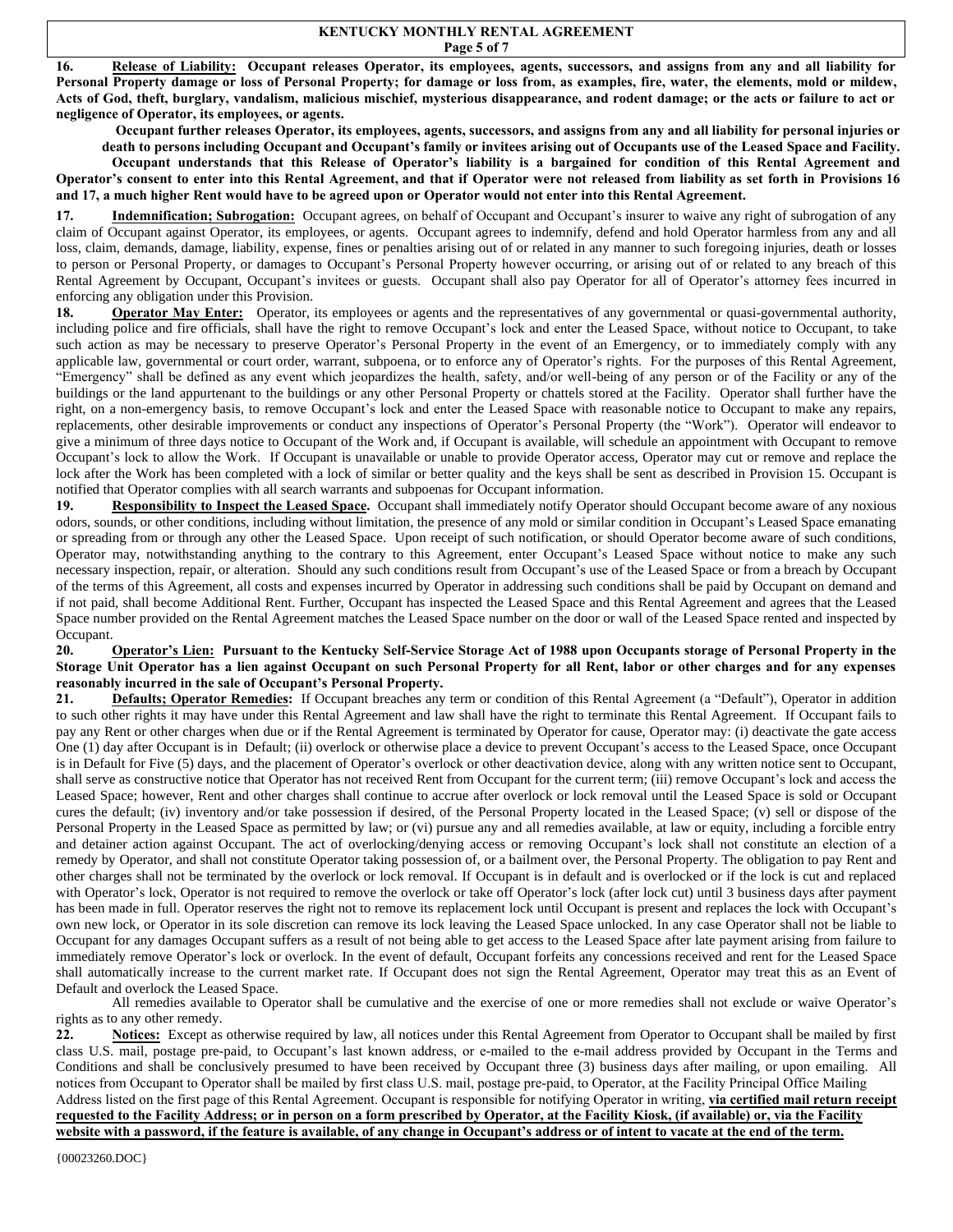#### **KENTUCKY MONTHLY RENTAL AGREEMENT Page 5 of 7**

**16. Release of Liability: Occupant releases Operator, its employees, agents, successors, and assigns from any and all liability for Personal Property damage or loss of Personal Property; for damage or loss from, as examples, fire, water, the elements, mold or mildew, Acts of God, theft, burglary, vandalism, malicious mischief, mysterious disappearance, and rodent damage; or the acts or failure to act or negligence of Operator, its employees, or agents.**

**Occupant further releases Operator, its employees, agents, successors, and assigns from any and all liability for personal injuries or** 

**death to persons including Occupant and Occupant's family or invitees arising out of Occupants use of the Leased Space and Facility. Occupant understands that this Release of Operator's liability is a bargained for condition of this Rental Agreement and Operator's consent to enter into this Rental Agreement, and that if Operator were not released from liability as set forth in Provisions 16 and 17, a much higher Rent would have to be agreed upon or Operator would not enter into this Rental Agreement.** 

17. **Indemnification; Subrogation:** Occupant agrees, on behalf of Occupant and Occupant's insurer to waive any right of subrogation of any claim of Occupant against Operator, its employees, or agents. Occupant agrees to indemnify, defend and hold Operator harmless from any and all loss, claim, demands, damage, liability, expense, fines or penalties arising out of or related in any manner to such foregoing injuries, death or losses to person or Personal Property, or damages to Occupant's Personal Property however occurring, or arising out of or related to any breach of this Rental Agreement by Occupant, Occupant's invitees or guests. Occupant shall also pay Operator for all of Operator's attorney fees incurred in enforcing any obligation under this Provision.

18. **Operator May Enter:** Operator, its employees or agents and the representatives of any governmental or quasi-governmental authority, including police and fire officials, shall have the right to remove Occupant's lock and enter the Leased Space, without notice to Occupant, to take such action as may be necessary to preserve Operator's Personal Property in the event of an Emergency, or to immediately comply with any applicable law, governmental or court order, warrant, subpoena, or to enforce any of Operator's rights. For the purposes of this Rental Agreement, "Emergency" shall be defined as any event which jeopardizes the health, safety, and/or well-being of any person or of the Facility or any of the buildings or the land appurtenant to the buildings or any other Personal Property or chattels stored at the Facility. Operator shall further have the right, on a non-emergency basis, to remove Occupant's lock and enter the Leased Space with reasonable notice to Occupant to make any repairs, replacements, other desirable improvements or conduct any inspections of Operator's Personal Property (the "Work"). Operator will endeavor to give a minimum of three days notice to Occupant of the Work and, if Occupant is available, will schedule an appointment with Occupant to remove Occupant's lock to allow the Work. If Occupant is unavailable or unable to provide Operator access, Operator may cut or remove and replace the lock after the Work has been completed with a lock of similar or better quality and the keys shall be sent as described in Provision 15. Occupant is notified that Operator complies with all search warrants and subpoenas for Occupant information.

19. Responsibility to Inspect the Leased Space. Occupant shall immediately notify Operator should Occupant become aware of any noxious odors, sounds, or other conditions, including without limitation, the presence of any mold or similar condition in Occupant's Leased Space emanating or spreading from or through any other the Leased Space. Upon receipt of such notification, or should Operator become aware of such conditions, Operator may, notwithstanding anything to the contrary to this Agreement, enter Occupant's Leased Space without notice to make any such necessary inspection, repair, or alteration. Should any such conditions result from Occupant's use of the Leased Space or from a breach by Occupant of the terms of this Agreement, all costs and expenses incurred by Operator in addressing such conditions shall be paid by Occupant on demand and if not paid, shall become Additional Rent. Further, Occupant has inspected the Leased Space and this Rental Agreement and agrees that the Leased Space number provided on the Rental Agreement matches the Leased Space number on the door or wall of the Leased Space rented and inspected by Occupant.

### **20. Operator's Lien: Pursuant to the Kentucky Self-Service Storage Act of 1988 upon Occupants storage of Personal Property in the Storage Unit Operator has a lien against Occupant on such Personal Property for all Rent, labor or other charges and for any expenses reasonably incurred in the sale of Occupant's Personal Property.**

21. Defaults; Operator Remedies: If Occupant breaches any term or condition of this Rental Agreement (a "Default"), Operator in addition to such other rights it may have under this Rental Agreement and law shall have the right to terminate this Rental Agreement. If Occupant fails to pay any Rent or other charges when due or if the Rental Agreement is terminated by Operator for cause, Operator may: (i) deactivate the gate access One (1) day after Occupant is in Default; (ii) overlock or otherwise place a device to prevent Occupant's access to the Leased Space, once Occupant is in Default for Five (5) days, and the placement of Operator's overlock or other deactivation device, along with any written notice sent to Occupant, shall serve as constructive notice that Operator has not received Rent from Occupant for the current term; (iii) remove Occupant's lock and access the Leased Space; however, Rent and other charges shall continue to accrue after overlock or lock removal until the Leased Space is sold or Occupant cures the default; (iv) inventory and/or take possession if desired, of the Personal Property located in the Leased Space; (v) sell or dispose of the Personal Property in the Leased Space as permitted by law; or (vi) pursue any and all remedies available, at law or equity, including a forcible entry and detainer action against Occupant. The act of overlocking/denying access or removing Occupant's lock shall not constitute an election of a remedy by Operator, and shall not constitute Operator taking possession of, or a bailment over, the Personal Property. The obligation to pay Rent and other charges shall not be terminated by the overlock or lock removal. If Occupant is in default and is overlocked or if the lock is cut and replaced with Operator's lock, Operator is not required to remove the overlock or take off Operator's lock (after lock cut) until 3 business days after payment has been made in full. Operator reserves the right not to remove its replacement lock until Occupant is present and replaces the lock with Occupant's own new lock, or Operator in its sole discretion can remove its lock leaving the Leased Space unlocked. In any case Operator shall not be liable to Occupant for any damages Occupant suffers as a result of not being able to get access to the Leased Space after late payment arising from failure to immediately remove Operator's lock or overlock. In the event of default, Occupant forfeits any concessions received and rent for the Leased Space shall automatically increase to the current market rate. If Occupant does not sign the Rental Agreement, Operator may treat this as an Event of Default and overlock the Leased Space.

All remedies available to Operator shall be cumulative and the exercise of one or more remedies shall not exclude or waive Operator's rights as to any other remedy.

22. Notices: Except as otherwise required by law, all notices under this Rental Agreement from Operator to Occupant shall be mailed by first class U.S. mail, postage pre-paid, to Occupant's last known address, or e-mailed to the e-mail address provided by Occupant in the Terms and Conditions and shall be conclusively presumed to have been received by Occupant three (3) business days after mailing, or upon emailing. All notices from Occupant to Operator shall be mailed by first class U.S. mail, postage pre-paid, to Operator, at the Facility Principal Office Mailing Address listed on the first page of this Rental Agreement. Occupant is responsible for notifying Operator in writing, **via certified mail return receipt requested to the Facility Address; or in person on a form prescribed by Operator, at the Facility Kiosk, (if available) or, via the Facility website with a password, if the feature is available, of any change in Occupant's address or of intent to vacate at the end of the term.**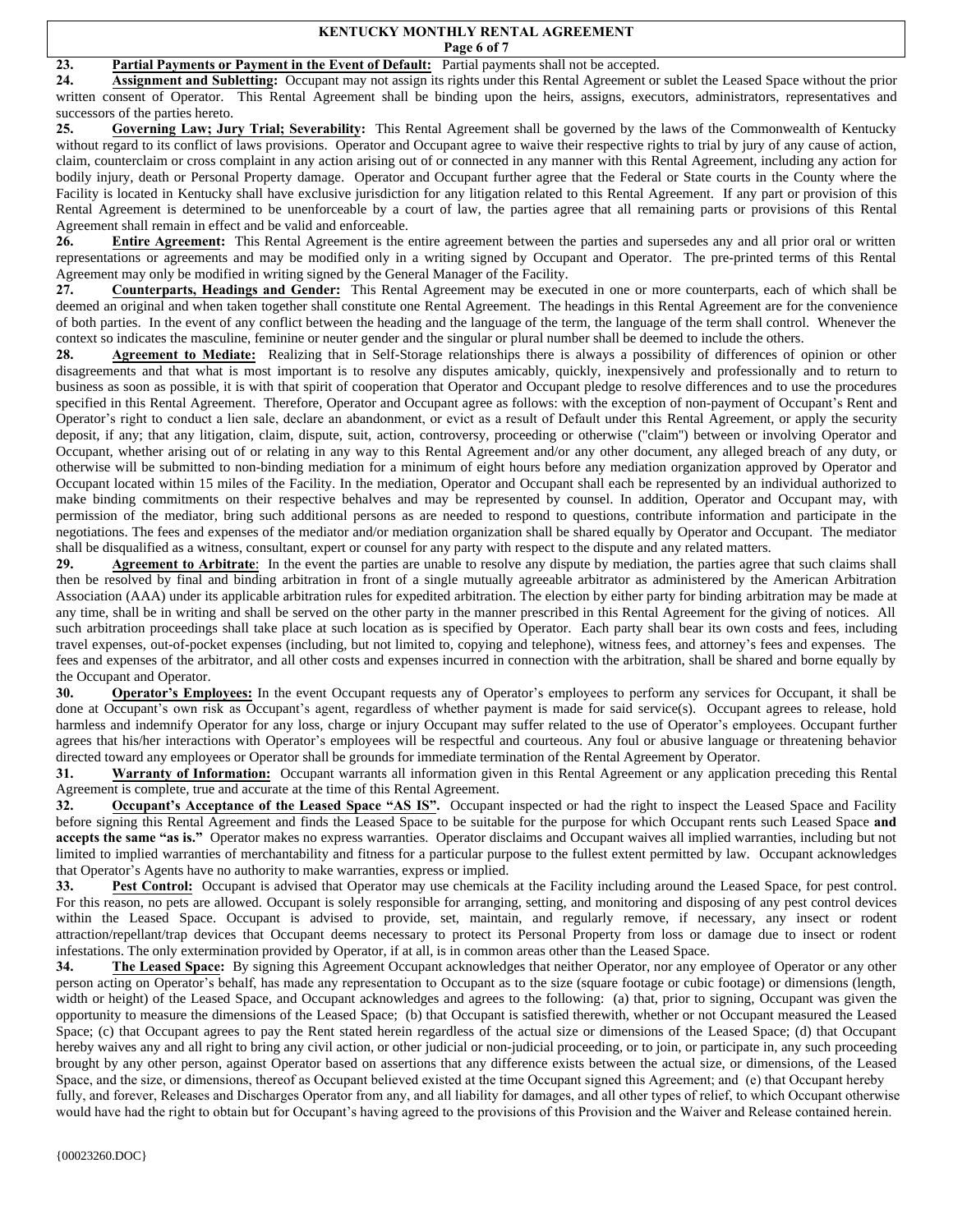#### **KENTUCKY MONTHLY RENTAL AGREEMENT Page 6 of 7**

## 23. **Partial Payments or Payment in the Event of Default:** Partial payments shall not be accepted.

**24. Assignment and Subletting:** Occupant may not assign its rights under this Rental Agreement or sublet the Leased Space without the prior written consent of Operator. This Rental Agreement shall be binding upon the heirs, assigns, executors, administrators, representatives and successors of the parties hereto.

**25. Governing Law; Jury Trial; Severability:** This Rental Agreement shall be governed by the laws of the Commonwealth of Kentucky without regard to its conflict of laws provisions. Operator and Occupant agree to waive their respective rights to trial by jury of any cause of action, claim, counterclaim or cross complaint in any action arising out of or connected in any manner with this Rental Agreement, including any action for bodily injury, death or Personal Property damage. Operator and Occupant further agree that the Federal or State courts in the County where the Facility is located in Kentucky shall have exclusive jurisdiction for any litigation related to this Rental Agreement. If any part or provision of this Rental Agreement is determined to be unenforceable by a court of law, the parties agree that all remaining parts or provisions of this Rental Agreement shall remain in effect and be valid and enforceable.

**26. Entire Agreement:** This Rental Agreement is the entire agreement between the parties and supersedes any and all prior oral or written representations or agreements and may be modified only in a writing signed by Occupant and Operator. The pre-printed terms of this Rental Agreement may only be modified in writing signed by the General Manager of the Facility.

**27. Counterparts, Headings and Gender:** This Rental Agreement may be executed in one or more counterparts, each of which shall be deemed an original and when taken together shall constitute one Rental Agreement. The headings in this Rental Agreement are for the convenience of both parties. In the event of any conflict between the heading and the language of the term, the language of the term shall control. Whenever the context so indicates the masculine, feminine or neuter gender and the singular or plural number shall be deemed to include the others.

**28. Agreement to Mediate:** Realizing that in Self-Storage relationships there is always a possibility of differences of opinion or other disagreements and that what is most important is to resolve any disputes amicably, quickly, inexpensively and professionally and to return to business as soon as possible, it is with that spirit of cooperation that Operator and Occupant pledge to resolve differences and to use the procedures specified in this Rental Agreement. Therefore, Operator and Occupant agree as follows: with the exception of non-payment of Occupant's Rent and Operator's right to conduct a lien sale, declare an abandonment, or evict as a result of Default under this Rental Agreement, or apply the security deposit, if any; that any litigation, claim, dispute, suit, action, controversy, proceeding or otherwise (''claim'') between or involving Operator and Occupant, whether arising out of or relating in any way to this Rental Agreement and/or any other document, any alleged breach of any duty, or otherwise will be submitted to non-binding mediation for a minimum of eight hours before any mediation organization approved by Operator and Occupant located within 15 miles of the Facility. In the mediation, Operator and Occupant shall each be represented by an individual authorized to make binding commitments on their respective behalves and may be represented by counsel. In addition, Operator and Occupant may, with permission of the mediator, bring such additional persons as are needed to respond to questions, contribute information and participate in the negotiations. The fees and expenses of the mediator and/or mediation organization shall be shared equally by Operator and Occupant. The mediator shall be disqualified as a witness, consultant, expert or counsel for any party with respect to the dispute and any related matters.

**29. Agreement to Arbitrate**: In the event the parties are unable to resolve any dispute by mediation, the parties agree that such claims shall then be resolved by final and binding arbitration in front of a single mutually agreeable arbitrator as administered by the American Arbitration Association (AAA) under its applicable arbitration rules for expedited arbitration. The election by either party for binding arbitration may be made at any time, shall be in writing and shall be served on the other party in the manner prescribed in this Rental Agreement for the giving of notices. All such arbitration proceedings shall take place at such location as is specified by Operator. Each party shall bear its own costs and fees, including travel expenses, out-of-pocket expenses (including, but not limited to, copying and telephone), witness fees, and attorney's fees and expenses. The fees and expenses of the arbitrator, and all other costs and expenses incurred in connection with the arbitration, shall be shared and borne equally by the Occupant and Operator.

**30. Operator's Employees:** In the event Occupant requests any of Operator's employees to perform any services for Occupant, it shall be done at Occupant's own risk as Occupant's agent, regardless of whether payment is made for said service(s). Occupant agrees to release, hold harmless and indemnify Operator for any loss, charge or injury Occupant may suffer related to the use of Operator's employees. Occupant further agrees that his/her interactions with Operator's employees will be respectful and courteous. Any foul or abusive language or threatening behavior directed toward any employees or Operator shall be grounds for immediate termination of the Rental Agreement by Operator.

**31. Warranty of Information:** Occupant warrants all information given in this Rental Agreement or any application preceding this Rental Agreement is complete, true and accurate at the time of this Rental Agreement.

**32.** Occupant's Acceptance of the Leased Space "AS IS". Occupant inspected or had the right to inspect the Leased Space and Facility before signing this Rental Agreement and finds the Leased Space to be suitable for the purpose for which Occupant rents such Leased Space **and accepts the same "as is."** Operator makes no express warranties. Operator disclaims and Occupant waives all implied warranties, including but not limited to implied warranties of merchantability and fitness for a particular purpose to the fullest extent permitted by law. Occupant acknowledges that Operator's Agents have no authority to make warranties, express or implied.

**33. Pest Control:** Occupant is advised that Operator may use chemicals at the Facility including around the Leased Space, for pest control. For this reason, no pets are allowed. Occupant is solely responsible for arranging, setting, and monitoring and disposing of any pest control devices within the Leased Space. Occupant is advised to provide, set, maintain, and regularly remove, if necessary, any insect or rodent attraction/repellant/trap devices that Occupant deems necessary to protect its Personal Property from loss or damage due to insect or rodent infestations. The only extermination provided by Operator, if at all, is in common areas other than the Leased Space.

**34. The Leased Space:** By signing this Agreement Occupant acknowledges that neither Operator, nor any employee of Operator or any other person acting on Operator's behalf, has made any representation to Occupant as to the size (square footage or cubic footage) or dimensions (length, width or height) of the Leased Space, and Occupant acknowledges and agrees to the following: (a) that, prior to signing, Occupant was given the opportunity to measure the dimensions of the Leased Space; (b) that Occupant is satisfied therewith, whether or not Occupant measured the Leased Space; (c) that Occupant agrees to pay the Rent stated herein regardless of the actual size or dimensions of the Leased Space; (d) that Occupant hereby waives any and all right to bring any civil action, or other judicial or non-judicial proceeding, or to join, or participate in, any such proceeding brought by any other person, against Operator based on assertions that any difference exists between the actual size, or dimensions, of the Leased Space, and the size, or dimensions, thereof as Occupant believed existed at the time Occupant signed this Agreement; and (e) that Occupant hereby fully, and forever, Releases and Discharges Operator from any, and all liability for damages, and all other types of relief, to which Occupant otherwise would have had the right to obtain but for Occupant's having agreed to the provisions of this Provision and the Waiver and Release contained herein.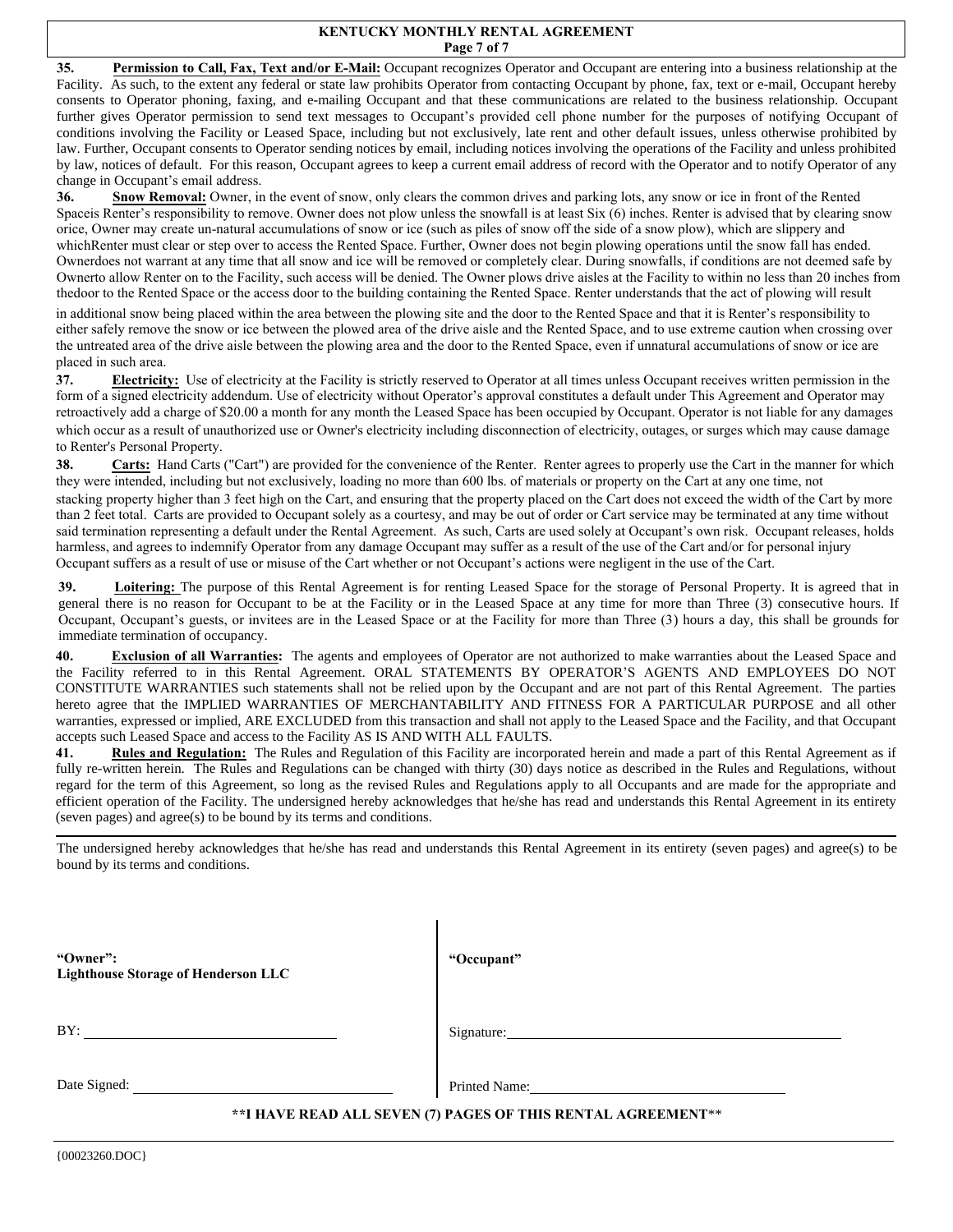#### **KENTUCKY MONTHLY RENTAL AGREEMENT Page 7 of 7**

**35. Permission to Call, Fax, Text and/or E-Mail:** Occupant recognizes Operator and Occupant are entering into a business relationship at the Facility. As such, to the extent any federal or state law prohibits Operator from contacting Occupant by phone, fax, text or e-mail, Occupant hereby consents to Operator phoning, faxing, and e-mailing Occupant and that these communications are related to the business relationship. Occupant further gives Operator permission to send text messages to Occupant's provided cell phone number for the purposes of notifying Occupant of conditions involving the Facility or Leased Space, including but not exclusively, late rent and other default issues, unless otherwise prohibited by law. Further, Occupant consents to Operator sending notices by email, including notices involving the operations of the Facility and unless prohibited by law, notices of default. For this reason, Occupant agrees to keep a current email address of record with the Operator and to notify Operator of any change in Occupant's email address.

**36.** Snow Removal: Owner, in the event of snow, only clears the common drives and parking lots, any snow or ice in front of the Rented Spaceis Renter's responsibility to remove. Owner does not plow unless the snowfall is at least Six (6) inches. Renter is advised that by clearing snow orice, Owner may create un-natural accumulations of snow or ice (such as piles of snow off the side of a snow plow), which are slippery and whichRenter must clear or step over to access the Rented Space. Further, Owner does not begin plowing operations until the snow fall has ended. Ownerdoes not warrant at any time that all snow and ice will be removed or completely clear. During snowfalls, if conditions are not deemed safe by Ownerto allow Renter on to the Facility, such access will be denied. The Owner plows drive aisles at the Facility to within no less than 20 inches from thedoor to the Rented Space or the access door to the building containing the Rented Space. Renter understands that the act of plowing will result

in additional snow being placed within the area between the plowing site and the door to the Rented Space and that it is Renter's responsibility to either safely remove the snow or ice between the plowed area of the drive aisle and the Rented Space, and to use extreme caution when crossing over the untreated area of the drive aisle between the plowing area and the door to the Rented Space, even if unnatural accumulations of snow or ice are placed in such area.

**37. Electricity:** Use of electricity at the Facility is strictly reserved to Operator at all times unless Occupant receives written permission in the form of a signed electricity addendum. Use of electricity without Operator's approval constitutes a default under This Agreement and Operator may retroactively add a charge of \$20.00 a month for any month the Leased Space has been occupied by Occupant. Operator is not liable for any damages which occur as a result of unauthorized use or Owner's electricity including disconnection of electricity, outages, or surges which may cause damage to Renter's Personal Property.

**38.** Carts: Hand Carts ("Cart") are provided for the convenience of the Renter. Renter agrees to properly use the Cart in the manner for which they were intended, including but not exclusively, loading no more than 600 lbs. of materials or property on the Cart at any one time, not

stacking property higher than 3 feet high on the Cart, and ensuring that the property placed on the Cart does not exceed the width of the Cart by more than 2 feet total. Carts are provided to Occupant solely as a courtesy, and may be out of order or Cart service may be terminated at any time without said termination representing a default under the Rental Agreement. As such, Carts are used solely at Occupant's own risk. Occupant releases, holds harmless, and agrees to indemnify Operator from any damage Occupant may suffer as a result of the use of the Cart and/or for personal injury Occupant suffers as a result of use or misuse of the Cart whether or not Occupant's actions were negligent in the use of the Cart.

**39. Loitering:** The purpose of this Rental Agreement is for renting Leased Space for the storage of Personal Property. It is agreed that in general there is no reason for Occupant to be at the Facility or in the Leased Space at any time for more than Three (3) consecutive hours. If Occupant, Occupant's guests, or invitees are in the Leased Space or at the Facility for more than Three (3) hours a day, this shall be grounds for immediate termination of occupancy.

**40. Exclusion of all Warranties:** The agents and employees of Operator are not authorized to make warranties about the Leased Space and the Facility referred to in this Rental Agreement. ORAL STATEMENTS BY OPERATOR'S AGENTS AND EMPLOYEES DO NOT CONSTITUTE WARRANTIES such statements shall not be relied upon by the Occupant and are not part of this Rental Agreement. The parties hereto agree that the IMPLIED WARRANTIES OF MERCHANTABILITY AND FITNESS FOR A PARTICULAR PURPOSE and all other warranties, expressed or implied, ARE EXCLUDED from this transaction and shall not apply to the Leased Space and the Facility, and that Occupant accepts such Leased Space and access to the Facility AS IS AND WITH ALL FAULTS.

41. Rules and Regulation: The Rules and Regulation of this Facility are incorporated herein and made a part of this Rental Agreement as if fully re-written herein. The Rules and Regulations can be changed with thirty (30) days notice as described in the Rules and Regulations, without regard for the term of this Agreement, so long as the revised Rules and Regulations apply to all Occupants and are made for the appropriate and efficient operation of the Facility. The undersigned hereby acknowledges that he/she has read and understands this Rental Agreement in its entirety (seven pages) and agree(s) to be bound by its terms and conditions.

The undersigned hereby acknowledges that he/she has read and understands this Rental Agreement in its entirety (seven pages) and agree(s) to be bound by its terms and conditions.

| "Owner":                            |  |
|-------------------------------------|--|
| Lighthouse Storage of Henderson LLC |  |
|                                     |  |

**"Occupant"** 

BY:

Signature:

Date Signed: Printed Name:

## **\*\*I HAVE READ ALL SEVEN (7) PAGES OF THIS RENTAL AGREEMENT**\*\*

{00023260.DOC}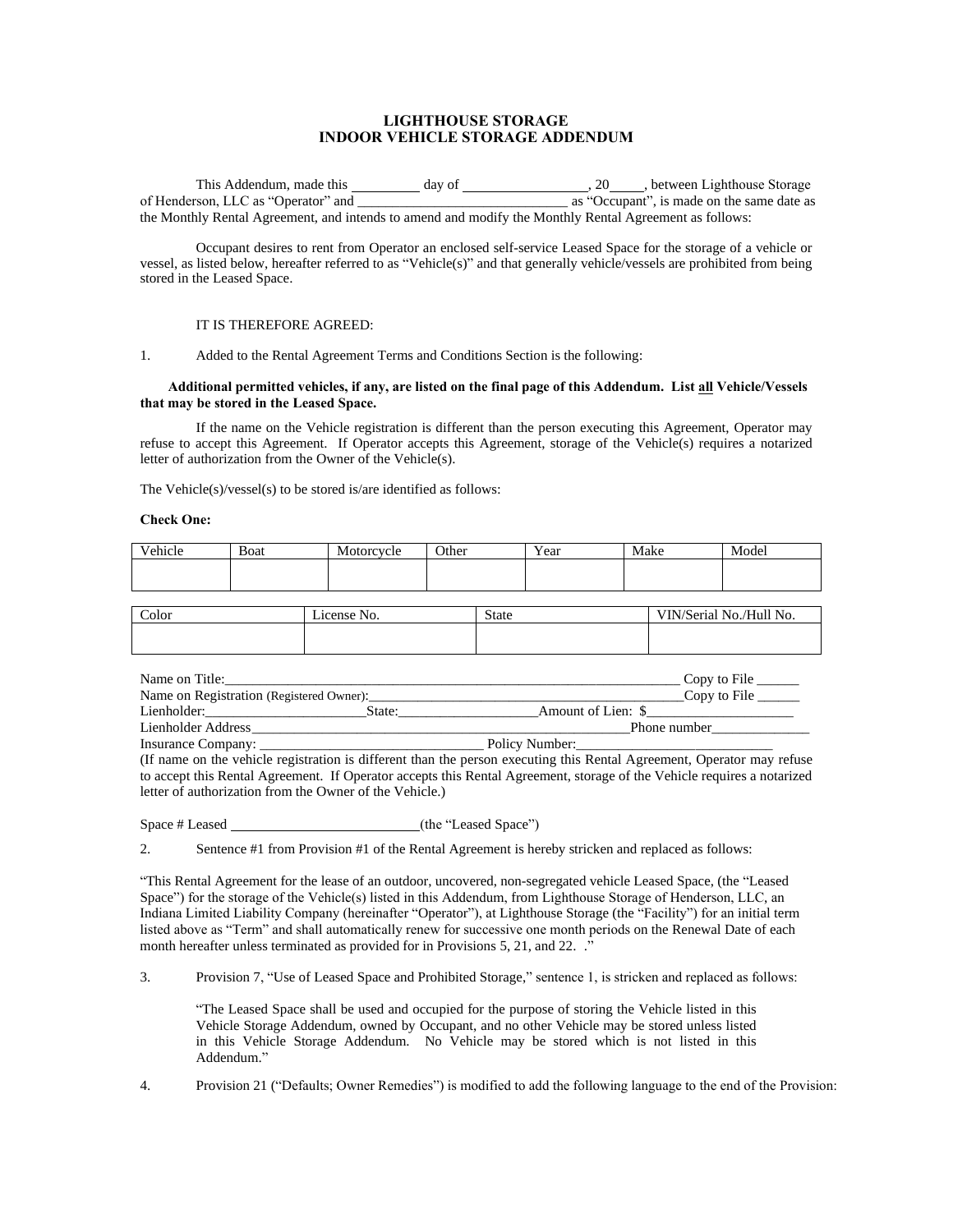### **LIGHTHOUSE STORAGE INDOOR VEHICLE STORAGE ADDENDUM**

This Addendum, made this \_\_\_\_\_\_\_\_\_ day of \_\_\_\_\_\_\_\_\_\_\_\_\_\_\_\_\_\_\_\_\_\_\_\_\_, 20\_\_\_\_\_, between Lighthouse Storage of Henderson, LLC as "Operator" and  $\alpha$  as "Occupant", is made on the same date as the Monthly Rental Agreement, and intends to amend and modify the Monthly Rental Agreement as follows:

Occupant desires to rent from Operator an enclosed self-service Leased Space for the storage of a vehicle or vessel, as listed below, hereafter referred to as "Vehicle(s)" and that generally vehicle/vessels are prohibited from being stored in the Leased Space.

### IT IS THEREFORE AGREED:

#### 1. Added to the Rental Agreement Terms and Conditions Section is the following:

#### **Additional permitted vehicles, if any, are listed on the final page of this Addendum. List all Vehicle/Vessels that may be stored in the Leased Space.**

If the name on the Vehicle registration is different than the person executing this Agreement, Operator may refuse to accept this Agreement. If Operator accepts this Agreement, storage of the Vehicle(s) requires a notarized letter of authorization from the Owner of the Vehicle(s).

The Vehicle(s)/vessel(s) to be stored is/are identified as follows:

#### **Check One:**

| Vehicle | Boat | Motorcycle | Other | $ -$<br>Year | Make | Model |
|---------|------|------------|-------|--------------|------|-------|
|         |      |            |       |              |      |       |
|         |      |            |       |              |      |       |

| Color | No.<br>_icense | State | VIN/Serial No./Hull No. |
|-------|----------------|-------|-------------------------|
|       |                |       |                         |

| Name on Title:                           |        |                    | Copy to File $\qquad$ |
|------------------------------------------|--------|--------------------|-----------------------|
| Name on Registration (Registered Owner): |        |                    | Copy to File $\qquad$ |
| Lienholder:                              | State: | Amount of Lien: \$ |                       |
| Lienholder Address                       |        |                    | Phone number          |
| Insurance Company:                       |        | Policy Number:     |                       |

(If name on the vehicle registration is different than the person executing this Rental Agreement, Operator may refuse to accept this Rental Agreement. If Operator accepts this Rental Agreement, storage of the Vehicle requires a notarized letter of authorization from the Owner of the Vehicle.)

Space # Leased (the "Leased Space")

2. Sentence #1 from Provision #1 of the Rental Agreement is hereby stricken and replaced as follows:

"This Rental Agreement for the lease of an outdoor, uncovered, non-segregated vehicle Leased Space, (the "Leased Space") for the storage of the Vehicle(s) listed in this Addendum, from Lighthouse Storage of Henderson, LLC, an Indiana Limited Liability Company (hereinafter "Operator"), at Lighthouse Storage (the "Facility") for an initial term listed above as "Term" and shall automatically renew for successive one month periods on the Renewal Date of each month hereafter unless terminated as provided for in Provisions 5, 21, and 22. ."

3. Provision 7, "Use of Leased Space and Prohibited Storage," sentence 1, is stricken and replaced as follows:

"The Leased Space shall be used and occupied for the purpose of storing the Vehicle listed in this Vehicle Storage Addendum, owned by Occupant, and no other Vehicle may be stored unless listed in this Vehicle Storage Addendum. No Vehicle may be stored which is not listed in this Addendum."

4. Provision 21 ("Defaults; Owner Remedies") is modified to add the following language to the end of the Provision: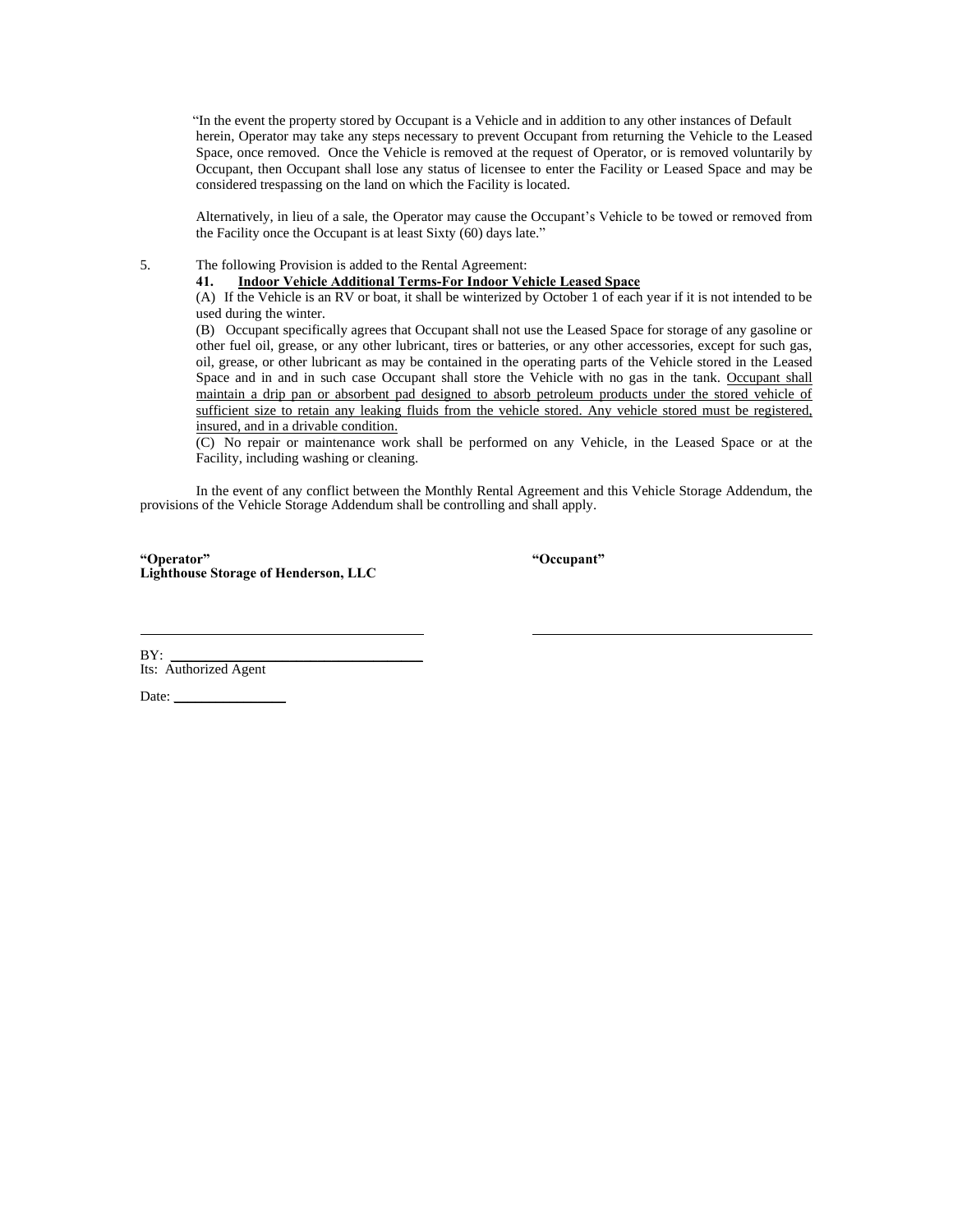"In the event the property stored by Occupant is a Vehicle and in addition to any other instances of Default herein, Operator may take any steps necessary to prevent Occupant from returning the Vehicle to the Leased Space, once removed. Once the Vehicle is removed at the request of Operator, or is removed voluntarily by Occupant, then Occupant shall lose any status of licensee to enter the Facility or Leased Space and may be considered trespassing on the land on which the Facility is located.

Alternatively, in lieu of a sale, the Operator may cause the Occupant's Vehicle to be towed or removed from the Facility once the Occupant is at least Sixty (60) days late."

5. The following Provision is added to the Rental Agreement:

**41. Indoor Vehicle Additional Terms-For Indoor Vehicle Leased Space**

(A) If the Vehicle is an RV or boat, it shall be winterized by October 1 of each year if it is not intended to be used during the winter.

(B) Occupant specifically agrees that Occupant shall not use the Leased Space for storage of any gasoline or other fuel oil, grease, or any other lubricant, tires or batteries, or any other accessories, except for such gas, oil, grease, or other lubricant as may be contained in the operating parts of the Vehicle stored in the Leased Space and in and in such case Occupant shall store the Vehicle with no gas in the tank. Occupant shall maintain a drip pan or absorbent pad designed to absorb petroleum products under the stored vehicle of sufficient size to retain any leaking fluids from the vehicle stored. Any vehicle stored must be registered, insured, and in a drivable condition.

(C) No repair or maintenance work shall be performed on any Vehicle, in the Leased Space or at the Facility, including washing or cleaning.

In the event of any conflict between the Monthly Rental Agreement and this Vehicle Storage Addendum, the provisions of the Vehicle Storage Addendum shall be controlling and shall apply.

**"Operator" "Occupant" Lighthouse Storage of Henderson, LLC**

BY: \_\_\_\_\_\_\_\_\_\_\_\_\_\_\_\_\_\_\_\_\_\_\_\_\_\_\_\_\_\_\_\_\_\_\_\_ BY:<br>Its: Authorized Agent

Date:  $\Box$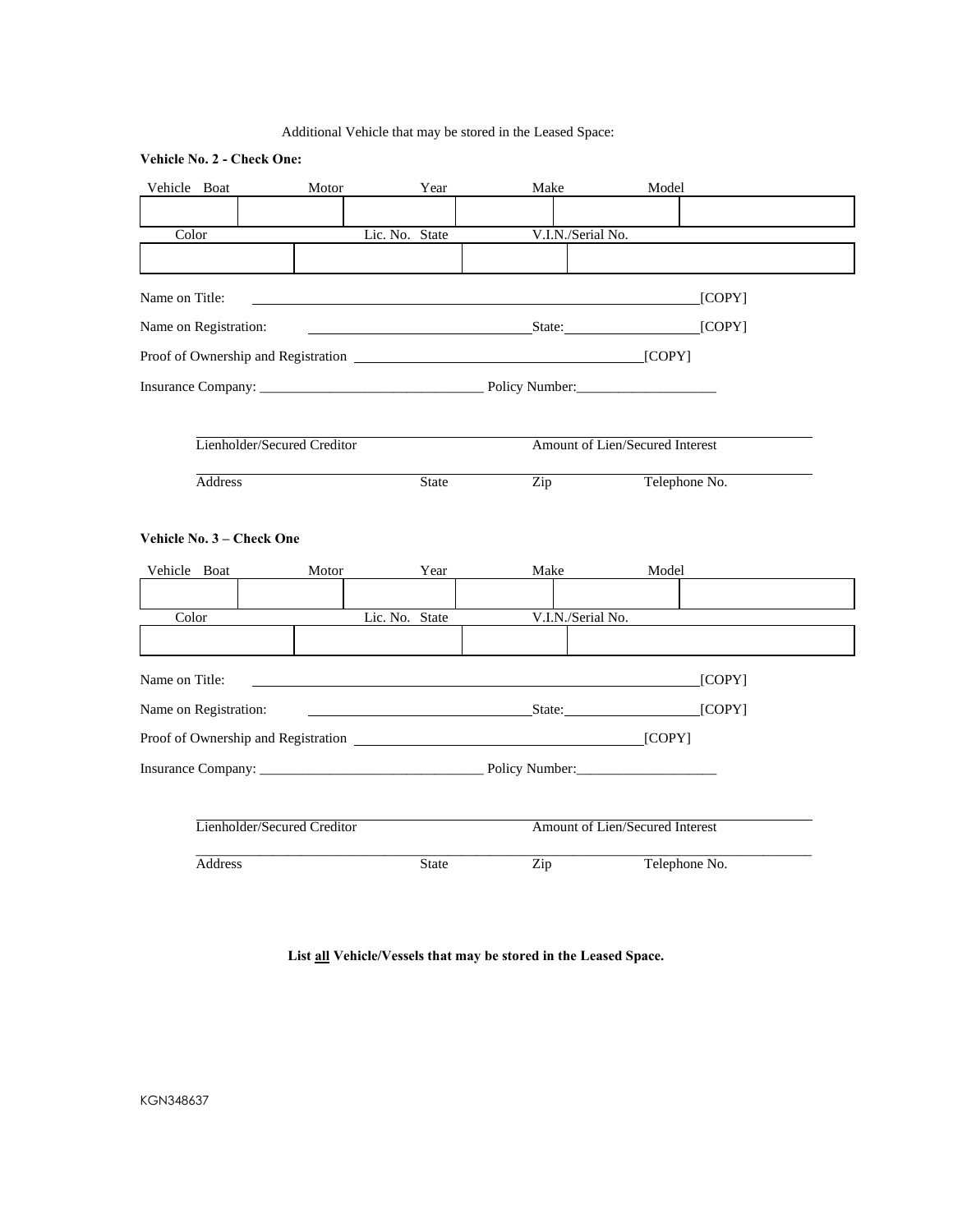## Additional Vehicle that may be stored in the Leased Space:

## **Vehicle No. 2 - Check One:**

| Vehicle Boat                      | Motor                       | Year           | Make                             | Model                           |
|-----------------------------------|-----------------------------|----------------|----------------------------------|---------------------------------|
|                                   |                             |                |                                  |                                 |
| Color                             |                             | Lic. No. State | V.I.N./Serial No.                |                                 |
|                                   |                             |                |                                  |                                 |
| Name on Title:                    |                             |                |                                  | [COPY]                          |
| Name on Registration:             |                             |                | State:                           | [COPY]                          |
|                                   |                             |                |                                  |                                 |
| Insurance Company: Policy Number: |                             |                |                                  |                                 |
|                                   |                             |                |                                  |                                 |
|                                   | Lienholder/Secured Creditor |                |                                  | Amount of Lien/Secured Interest |
| <b>Address</b>                    |                             | <b>State</b>   | Zip                              | Telephone No.                   |
|                                   |                             |                |                                  |                                 |
| Vehicle No. 3 - Check One         |                             |                |                                  |                                 |
| Vehicle Boat                      | Motor                       | Year           | Make                             | Model                           |
|                                   |                             |                |                                  |                                 |
| Color                             |                             | Lic. No. State | V.I.N./Serial No.                |                                 |
|                                   |                             |                |                                  |                                 |
| Name on Title:                    |                             |                |                                  | [COPY]                          |
| Name on Registration:             |                             |                | <b>Example 2.1 State:</b> State: | [COPY]                          |
|                                   |                             |                |                                  |                                 |
|                                   |                             |                |                                  |                                 |
|                                   |                             |                |                                  |                                 |
|                                   | Lienholder/Secured Creditor |                |                                  | Amount of Lien/Secured Interest |
| <b>Address</b>                    |                             | <b>State</b>   | Zip                              | Telephone No.                   |

**List all Vehicle/Vessels that may be stored in the Leased Space.**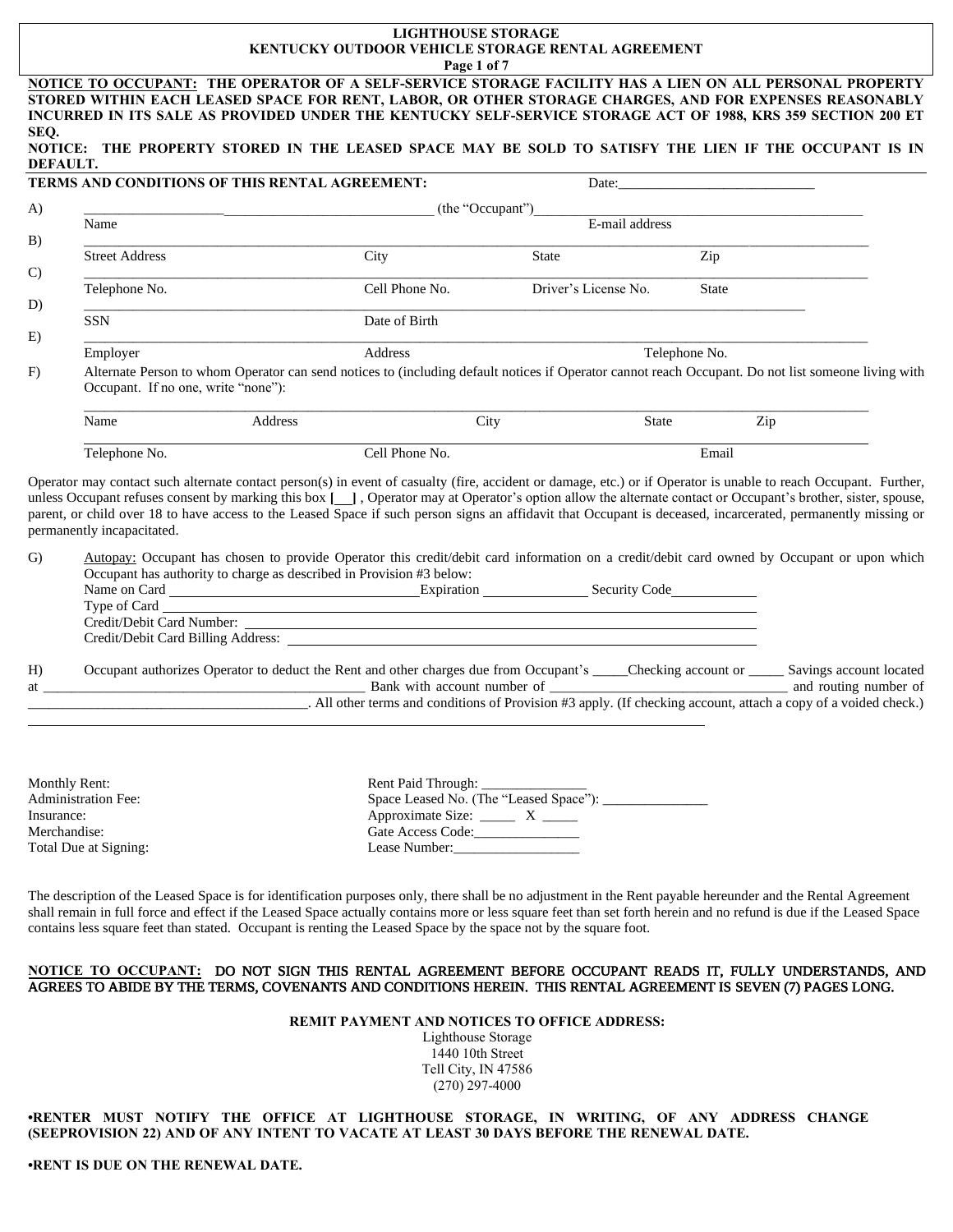# **LIGHTHOUSE STORAGE KENTUCKY OUTDOOR VEHICLE STORAGE RENTAL AGREEMENT**

|                            |                                                                      |                                                                                                                  | Page 1 of 7                                                              |                      |                |                                                                                                                                                                                                                                                                                                                                     |  |
|----------------------------|----------------------------------------------------------------------|------------------------------------------------------------------------------------------------------------------|--------------------------------------------------------------------------|----------------------|----------------|-------------------------------------------------------------------------------------------------------------------------------------------------------------------------------------------------------------------------------------------------------------------------------------------------------------------------------------|--|
|                            |                                                                      |                                                                                                                  |                                                                          |                      |                | NOTICE TO OCCUPANT: THE OPERATOR OF A SELF-SERVICE STORAGE FACILITY HAS A LIEN ON ALL PERSONAL PROPERTY<br>STORED WITHIN EACH LEASED SPACE FOR RENT, LABOR, OR OTHER STORAGE CHARGES, AND FOR EXPENSES REASONABLY<br>INCURRED IN ITS SALE AS PROVIDED UNDER THE KENTUCKY SELF-SERVICE STORAGE ACT OF 1988, KRS 359 SECTION 200 ET   |  |
| SEQ.<br>DEFAULT.           |                                                                      |                                                                                                                  |                                                                          |                      |                | NOTICE: THE PROPERTY STORED IN THE LEASED SPACE MAY BE SOLD TO SATISFY THE LIEN IF THE OCCUPANT IS IN                                                                                                                                                                                                                               |  |
|                            |                                                                      | TERMS AND CONDITIONS OF THIS RENTAL AGREEMENT:                                                                   |                                                                          |                      |                |                                                                                                                                                                                                                                                                                                                                     |  |
| A)                         |                                                                      |                                                                                                                  | (the "Occupant")                                                         |                      |                |                                                                                                                                                                                                                                                                                                                                     |  |
| B)                         | Name                                                                 |                                                                                                                  |                                                                          |                      | E-mail address |                                                                                                                                                                                                                                                                                                                                     |  |
|                            | <b>Street Address</b>                                                |                                                                                                                  | City                                                                     | <b>State</b>         | Zip            |                                                                                                                                                                                                                                                                                                                                     |  |
| $\mathcal{C}$              | Telephone No.                                                        |                                                                                                                  | Cell Phone No.                                                           | Driver's License No. | State          |                                                                                                                                                                                                                                                                                                                                     |  |
| D)                         | <b>SSN</b>                                                           |                                                                                                                  | Date of Birth                                                            |                      |                |                                                                                                                                                                                                                                                                                                                                     |  |
| E)                         | Employer                                                             |                                                                                                                  | Address                                                                  |                      | Telephone No.  |                                                                                                                                                                                                                                                                                                                                     |  |
| F)                         | Occupant. If no one, write "none"):                                  |                                                                                                                  |                                                                          |                      |                | Alternate Person to whom Operator can send notices to (including default notices if Operator cannot reach Occupant. Do not list someone living with                                                                                                                                                                                 |  |
|                            | Name                                                                 | Address                                                                                                          | City                                                                     |                      | State          | Zip                                                                                                                                                                                                                                                                                                                                 |  |
|                            | Telephone No.                                                        |                                                                                                                  | Cell Phone No.                                                           |                      | Email          |                                                                                                                                                                                                                                                                                                                                     |  |
| $\mathbf{G}$               | permanently incapacitated.                                           | Occupant has authority to charge as described in Provision #3 below:                                             |                                                                          |                      |                | parent, or child over 18 to have access to the Leased Space if such person signs an affidavit that Occupant is deceased, incarcerated, permanently missing or<br>Autopay: Occupant has chosen to provide Operator this credit/debit card information on a credit/debit card owned by Occupant or upon which                         |  |
|                            |                                                                      |                                                                                                                  |                                                                          |                      |                |                                                                                                                                                                                                                                                                                                                                     |  |
| H)<br>at a                 |                                                                      |                                                                                                                  |                                                                          |                      |                | Occupant authorizes Operator to deduct the Rent and other charges due from Occupant's ____Checking account or _____ Savings account located<br>All other terms and conditions of Provision #3 apply. (If checking account, attach a copy of a voided check.)                                                                        |  |
| Insurance:<br>Merchandise: | Monthly Rent:<br><b>Administration Fee:</b><br>Total Due at Signing: |                                                                                                                  | Approximate Size: _______ X ______<br>Gate Access Code:<br>Lease Number: |                      |                |                                                                                                                                                                                                                                                                                                                                     |  |
|                            |                                                                      | contains less square feet than stated. Occupant is renting the Leased Space by the space not by the square foot. |                                                                          |                      |                | The description of the Leased Space is for identification purposes only, there shall be no adjustment in the Rent payable hereunder and the Rental Agreement<br>shall remain in full force and effect if the Leased Space actually contains more or less square feet than set forth herein and no refund is due if the Leased Space |  |

### **NOTICE TO OCCUPANT:** DO NOT SIGN THIS RENTAL AGREEMENT BEFORE OCCUPANT READS IT, FULLY UNDERSTANDS, AND AGREES TO ABIDE BY THE TERMS, COVENANTS AND CONDITIONS HEREIN. THIS RENTAL AGREEMENT IS SEVEN (7) PAGES LONG.

**REMIT PAYMENT AND NOTICES TO OFFICE ADDRESS:**

Lighthouse Storage 1440 10th Street Tell City, IN 47586 (270) 297-4000

**•RENTER MUST NOTIFY THE OFFICE AT LIGHTHOUSE STORAGE, IN WRITING, OF ANY ADDRESS CHANGE (SEEPROVISION 22) AND OF ANY INTENT TO VACATE AT LEAST 30 DAYS BEFORE THE RENEWAL DATE.**

**•RENT IS DUE ON THE RENEWAL DATE.**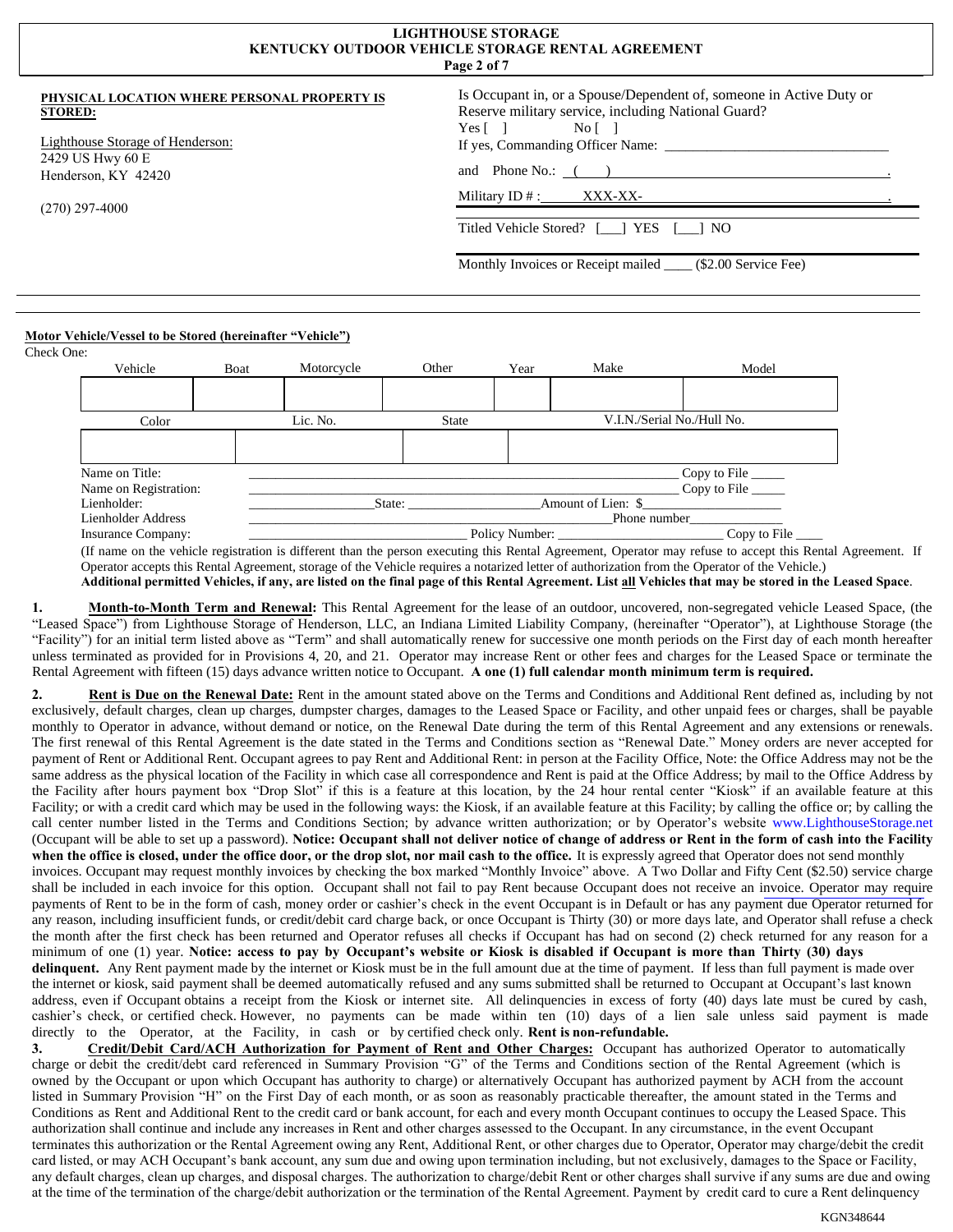| <b>LIGHTHOUSE STORAGE</b><br><b>KENTUCKY OUTDOOR VEHICLE STORAGE RENTAL AGREEMENT</b><br>Page 2 of 7                                                              |                                                                                                                                                                                                                                                                                                                                   |  |  |  |
|-------------------------------------------------------------------------------------------------------------------------------------------------------------------|-----------------------------------------------------------------------------------------------------------------------------------------------------------------------------------------------------------------------------------------------------------------------------------------------------------------------------------|--|--|--|
| PHYSICAL LOCATION WHERE PERSONAL PROPERTY IS<br><b>STORED:</b><br>Lighthouse Storage of Henderson:<br>2429 US Hwy 60 E<br>Henderson, KY 42420<br>$(270)$ 297-4000 | Is Occupant in, or a Spouse/Dependent of, someone in Active Duty or<br>Reserve military service, including National Guard?<br>$Yes \lceil \rceil$<br>Nof <sub>1</sub><br>and Phone No.: ( )<br>Military $ID #:$ XXX-XX-<br>Titled Vehicle Stored? [ ] YES [ ] NO<br>Monthly Invoices or Receipt mailed _____ (\$2.00 Service Fee) |  |  |  |
|                                                                                                                                                                   |                                                                                                                                                                                                                                                                                                                                   |  |  |  |

### **Motor Vehicle/Vessel to be Stored (hereinafter "Vehicle")**

| Check One:            |      |                                                    |              |      |                    |                            |  |
|-----------------------|------|----------------------------------------------------|--------------|------|--------------------|----------------------------|--|
| Vehicle               | Boat | Motorcycle                                         | Other        | Year | Make               | Model                      |  |
|                       |      |                                                    |              |      |                    |                            |  |
| Color                 |      | Lic. No.                                           | <b>State</b> |      |                    | V.I.N./Serial No./Hull No. |  |
|                       |      |                                                    |              |      |                    |                            |  |
| Name on Title:        |      |                                                    |              |      |                    | Copy to File               |  |
| Name on Registration: |      |                                                    |              |      |                    | Copy to File               |  |
| Lienholder:           |      |                                                    | State:       |      | Amount of Lien: \$ |                            |  |
| Lienholder Address    |      | Phone number                                       |              |      |                    |                            |  |
| Insurance Company:    |      | Policy Number:<br>$\lfloor$ Copy to File $\lfloor$ |              |      |                    |                            |  |

(If name on the vehicle registration is different than the person executing this Rental Agreement, Operator may refuse to accept this Rental Agreement. If Operator accepts this Rental Agreement, storage of the Vehicle requires a notarized letter of authorization from the Operator of the Vehicle.)

**Additional permitted Vehicles, if any, are listed on the final page of this Rental Agreement. List all Vehicles that may be stored in the Leased Space**.

1. **Month-to-Month Term and Renewal:** This Rental Agreement for the lease of an outdoor, uncovered, non-segregated vehicle Leased Space, (the "Leased Space") from Lighthouse Storage of Henderson, LLC, an Indiana Limited Liability Company, (hereinafter "Operator"), at Lighthouse Storage (the "Facility") for an initial term listed above as "Term" and shall automatically renew for successive one month periods on the First day of each month hereafter unless terminated as provided for in Provisions 4, 20, and 21. Operator may increase Rent or other fees and charges for the Leased Space or terminate the Rental Agreement with fifteen (15) days advance written notice to Occupant. **A one (1) full calendar month minimum term is required.**

**2. Rent is Due on the Renewal Date:** Rent in the amount stated above on the Terms and Conditions and Additional Rent defined as, including by not exclusively, default charges, clean up charges, dumpster charges, damages to the Leased Space or Facility, and other unpaid fees or charges, shall be payable monthly to Operator in advance, without demand or notice, on the Renewal Date during the term of this Rental Agreement and any extensions or renewals. The first renewal of this Rental Agreement is the date stated in the Terms and Conditions section as "Renewal Date." Money orders are never accepted for payment of Rent or Additional Rent. Occupant agrees to pay Rent and Additional Rent: in person at the Facility Office, Note: the Office Address may not be the same address as the physical location of the Facility in which case all correspondence and Rent is paid at the Office Address; by mail to the Office Address by the Facility after hours payment box "Drop Slot" if this is a feature at this location, by the 24 hour rental center "Kiosk" if an available feature at this Facility; or with a credit card which may be used in the following ways: the Kiosk, if an available feature at this Facility; by calling the office or; by calling the call center number listed in the Terms and Conditions Section; by advance written authorization; or by Operator's website www.LighthouseStorage.net (Occupant will be able to set up a password). **Notice: Occupant shall not deliver notice of change of address or Rent in the form of cash into the Facility** when the office is closed, under the office door, or the drop slot, nor mail cash to the office. It is expressly agreed that Operator does not send monthly invoices. Occupant may request monthly invoices by checking the box marked "Monthly Invoice" above. A Two Dollar and Fifty Cent (\$2.50) service charge shall be included in each invoice for this option. Occupant shall not fail to pay Rent because Occupant does not receive an [invoice. Operator may require](http://www.lighthousestorage.net/) payments of Rent to be in the form of cash, money order or cashier's check in the event Occupant is in Default or has any payment due Operator returned for any reason, including insufficient funds, or credit/debit card charge back, or once Occupant is Thirty (30) or more days late, and Operator shall refuse a check the month after the first check has been returned and Operator refuses all checks if Occupant has had on second (2) check returned for any reason for a minimum of one (1) year. **Notice: access to pay by Occupant's website or Kiosk is disabled if Occupant is more than Thirty (30) days delinquent.** Any Rent payment made by the internet or Kiosk must be in the full amount due at the time of payment. If less than full payment is made over the internet or kiosk, said payment shall be deemed automatically refused and any sums submitted shall be returned to Occupant at Occupant's last known address, even if Occupant obtains a receipt from the Kiosk or internet site. All delinquencies in excess of forty (40) days late must be cured by cash, cashier's check, or certified check. However, no payments can be made within ten (10) days of a lien sale unless said payment is made directly to the Operator, at the Facility, in cash or by certified check only. **Rent is non-refundable.**

**3. Credit/Debit Card/ACH Authorization for Payment of Rent and Other Charges:** Occupant has authorized Operator to automatically charge or debit the credit/debt card referenced in Summary Provision "G" of the Terms and Conditions section of the Rental Agreement (which is owned by the Occupant or upon which Occupant has authority to charge) or alternatively Occupant has authorized payment by ACH from the account listed in Summary Provision "H" on the First Day of each month, or as soon as reasonably practicable thereafter, the amount stated in the Terms and Conditions as Rent and Additional Rent to the credit card or bank account, for each and every month Occupant continues to occupy the Leased Space. This authorization shall continue and include any increases in Rent and other charges assessed to the Occupant. In any circumstance, in the event Occupant terminates this authorization or the Rental Agreement owing any Rent, Additional Rent, or other charges due to Operator, Operator may charge/debit the credit card listed, or may ACH Occupant's bank account, any sum due and owing upon termination including, but not exclusively, damages to the Space or Facility, any default charges, clean up charges, and disposal charges. The authorization to charge/debit Rent or other charges shall survive if any sums are due and owing at the time of the termination of the charge/debit authorization or the termination of the Rental Agreement. Payment by credit card to cure a Rent delinquency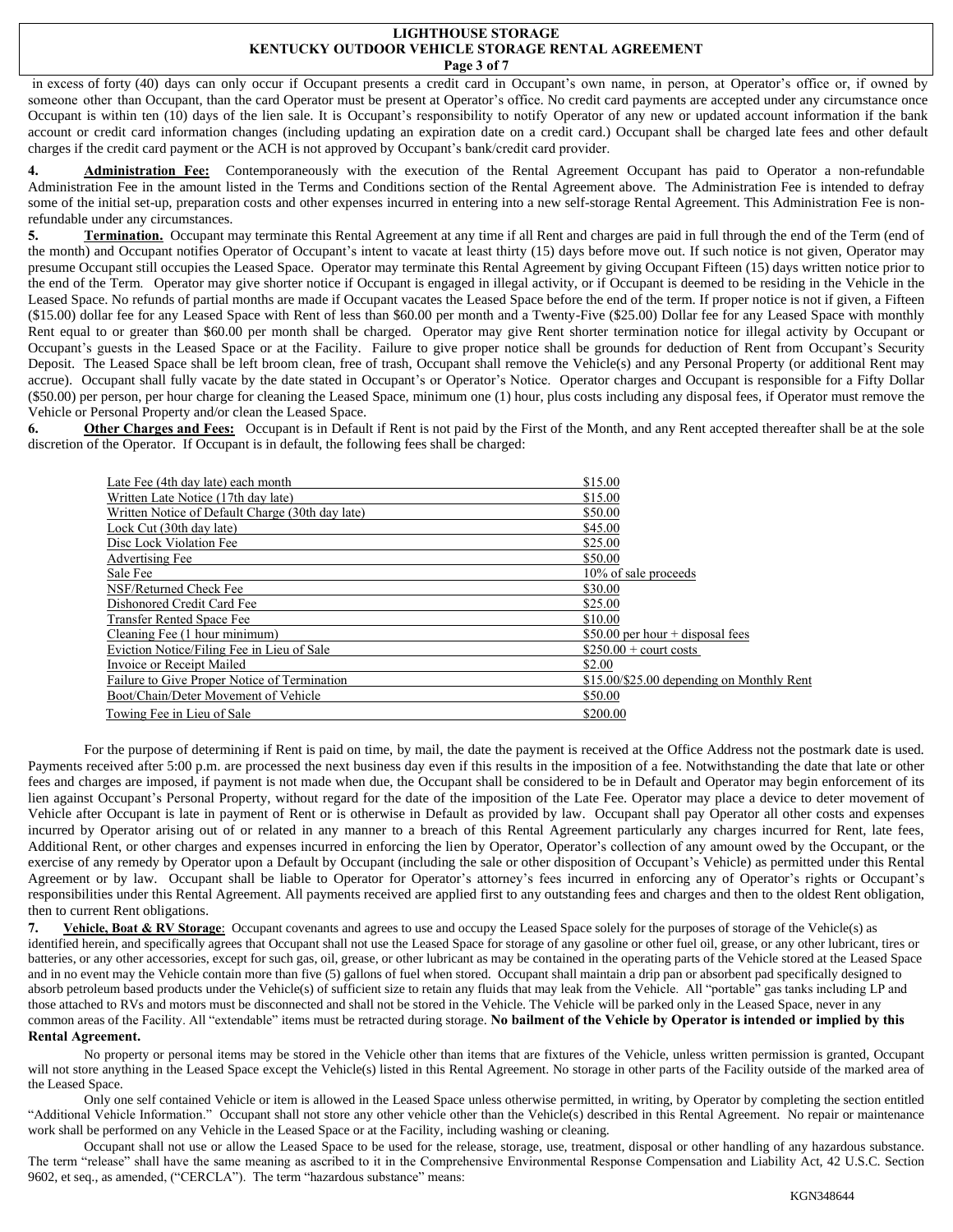#### **LIGHTHOUSE STORAGE KENTUCKY OUTDOOR VEHICLE STORAGE RENTAL AGREEMENT Page 3 of 7**

in excess of forty (40) days can only occur if Occupant presents a credit card in Occupant's own name, in person, at Operator's office or, if owned by someone other than Occupant, than the card Operator must be present at Operator's office. No credit card payments are accepted under any circumstance once Occupant is within ten (10) days of the lien sale. It is Occupant's responsibility to notify Operator of any new or updated account information if the bank account or credit card information changes (including updating an expiration date on a credit card.) Occupant shall be charged late fees and other default charges if the credit card payment or the ACH is not approved by Occupant's bank/credit card provider.

**4. Administration Fee:** Contemporaneously with the execution of the Rental Agreement Occupant has paid to Operator a non-refundable Administration Fee in the amount listed in the Terms and Conditions section of the Rental Agreement above. The Administration Fee is intended to defray some of the initial set-up, preparation costs and other expenses incurred in entering into a new self-storage Rental Agreement. This Administration Fee is nonrefundable under any circumstances.

**5. Termination.** Occupant may terminate this Rental Agreement at any time if all Rent and charges are paid in full through the end of the Term (end of the month) and Occupant notifies Operator of Occupant's intent to vacate at least thirty (15) days before move out. If such notice is not given, Operator may presume Occupant still occupies the Leased Space. Operator may terminate this Rental Agreement by giving Occupant Fifteen (15) days written notice prior to the end of the Term. Operator may give shorter notice if Occupant is engaged in illegal activity, or if Occupant is deemed to be residing in the Vehicle in the Leased Space. No refunds of partial months are made if Occupant vacates the Leased Space before the end of the term. If proper notice is not if given, a Fifteen (\$15.00) dollar fee for any Leased Space with Rent of less than \$60.00 per month and a Twenty-Five (\$25.00) Dollar fee for any Leased Space with monthly Rent equal to or greater than \$60.00 per month shall be charged. Operator may give Rent shorter termination notice for illegal activity by Occupant or Occupant's guests in the Leased Space or at the Facility. Failure to give proper notice shall be grounds for deduction of Rent from Occupant's Security Deposit. The Leased Space shall be left broom clean, free of trash, Occupant shall remove the Vehicle(s) and any Personal Property (or additional Rent may accrue). Occupant shall fully vacate by the date stated in Occupant's or Operator's Notice. Operator charges and Occupant is responsible for a Fifty Dollar (\$50.00) per person, per hour charge for cleaning the Leased Space, minimum one (1) hour, plus costs including any disposal fees, if Operator must remove the Vehicle or Personal Property and/or clean the Leased Space.

**6.** Other Charges and Fees: Occupant is in Default if Rent is not paid by the First of the Month, and any Rent accepted thereafter shall be at the sole discretion of the Operator. If Occupant is in default, the following fees shall be charged:

| Late Fee (4th day late) each month               | \$15.00                                   |
|--------------------------------------------------|-------------------------------------------|
| Written Late Notice (17th day late)              | \$15.00                                   |
| Written Notice of Default Charge (30th day late) | \$50.00                                   |
| Lock Cut (30th day late)                         | \$45.00                                   |
| Disc Lock Violation Fee                          | \$25.00                                   |
| Advertising Fee                                  | \$50.00                                   |
| Sale Fee                                         | 10% of sale proceeds                      |
| NSF/Returned Check Fee                           | \$30.00                                   |
| Dishonored Credit Card Fee                       | \$25.00                                   |
| Transfer Rented Space Fee                        | \$10.00                                   |
| Cleaning Fee (1 hour minimum)                    | $$50.00$ per hour + disposal fees         |
| Eviction Notice/Filing Fee in Lieu of Sale       | $\$250.00 + \text{court costs}$           |
| Invoice or Receipt Mailed                        | \$2.00                                    |
| Failure to Give Proper Notice of Termination     | \$15.00/\$25.00 depending on Monthly Rent |
| Boot/Chain/Deter Movement of Vehicle             | \$50.00                                   |
| Towing Fee in Lieu of Sale                       | \$200.00                                  |

For the purpose of determining if Rent is paid on time, by mail, the date the payment is received at the Office Address not the postmark date is used. Payments received after 5:00 p.m. are processed the next business day even if this results in the imposition of a fee. Notwithstanding the date that late or other fees and charges are imposed, if payment is not made when due, the Occupant shall be considered to be in Default and Operator may begin enforcement of its lien against Occupant's Personal Property, without regard for the date of the imposition of the Late Fee. Operator may place a device to deter movement of Vehicle after Occupant is late in payment of Rent or is otherwise in Default as provided by law. Occupant shall pay Operator all other costs and expenses incurred by Operator arising out of or related in any manner to a breach of this Rental Agreement particularly any charges incurred for Rent, late fees, Additional Rent, or other charges and expenses incurred in enforcing the lien by Operator, Operator's collection of any amount owed by the Occupant, or the exercise of any remedy by Operator upon a Default by Occupant (including the sale or other disposition of Occupant's Vehicle) as permitted under this Rental Agreement or by law. Occupant shall be liable to Operator for Operator's attorney's fees incurred in enforcing any of Operator's rights or Occupant's responsibilities under this Rental Agreement. All payments received are applied first to any outstanding fees and charges and then to the oldest Rent obligation, then to current Rent obligations.

**7. Vehicle, Boat & RV Storage**: Occupant covenants and agrees to use and occupy the Leased Space solely for the purposes of storage of the Vehicle(s) as identified herein, and specifically agrees that Occupant shall not use the Leased Space for storage of any gasoline or other fuel oil, grease, or any other lubricant, tires or batteries, or any other accessories, except for such gas, oil, grease, or other lubricant as may be contained in the operating parts of the Vehicle stored at the Leased Space and in no event may the Vehicle contain more than five (5) gallons of fuel when stored. Occupant shall maintain a drip pan or absorbent pad specifically designed to absorb petroleum based products under the Vehicle(s) of sufficient size to retain any fluids that may leak from the Vehicle. All "portable" gas tanks including LP and those attached to RVs and motors must be disconnected and shall not be stored in the Vehicle. The Vehicle will be parked only in the Leased Space, never in any common areas of the Facility. All "extendable" items must be retracted during storage. **No bailment of the Vehicle by Operator is intended or implied by this Rental Agreement.**

No property or personal items may be stored in the Vehicle other than items that are fixtures of the Vehicle, unless written permission is granted, Occupant will not store anything in the Leased Space except the Vehicle(s) listed in this Rental Agreement. No storage in other parts of the Facility outside of the marked area of the Leased Space.

Only one self contained Vehicle or item is allowed in the Leased Space unless otherwise permitted, in writing, by Operator by completing the section entitled "Additional Vehicle Information." Occupant shall not store any other vehicle other than the Vehicle(s) described in this Rental Agreement. No repair or maintenance work shall be performed on any Vehicle in the Leased Space or at the Facility, including washing or cleaning.

Occupant shall not use or allow the Leased Space to be used for the release, storage, use, treatment, disposal or other handling of any hazardous substance. The term "release" shall have the same meaning as ascribed to it in the Comprehensive Environmental Response Compensation and Liability Act, 42 U.S.C. Section 9602, et seq., as amended, ("CERCLA"). The term "hazardous substance" means: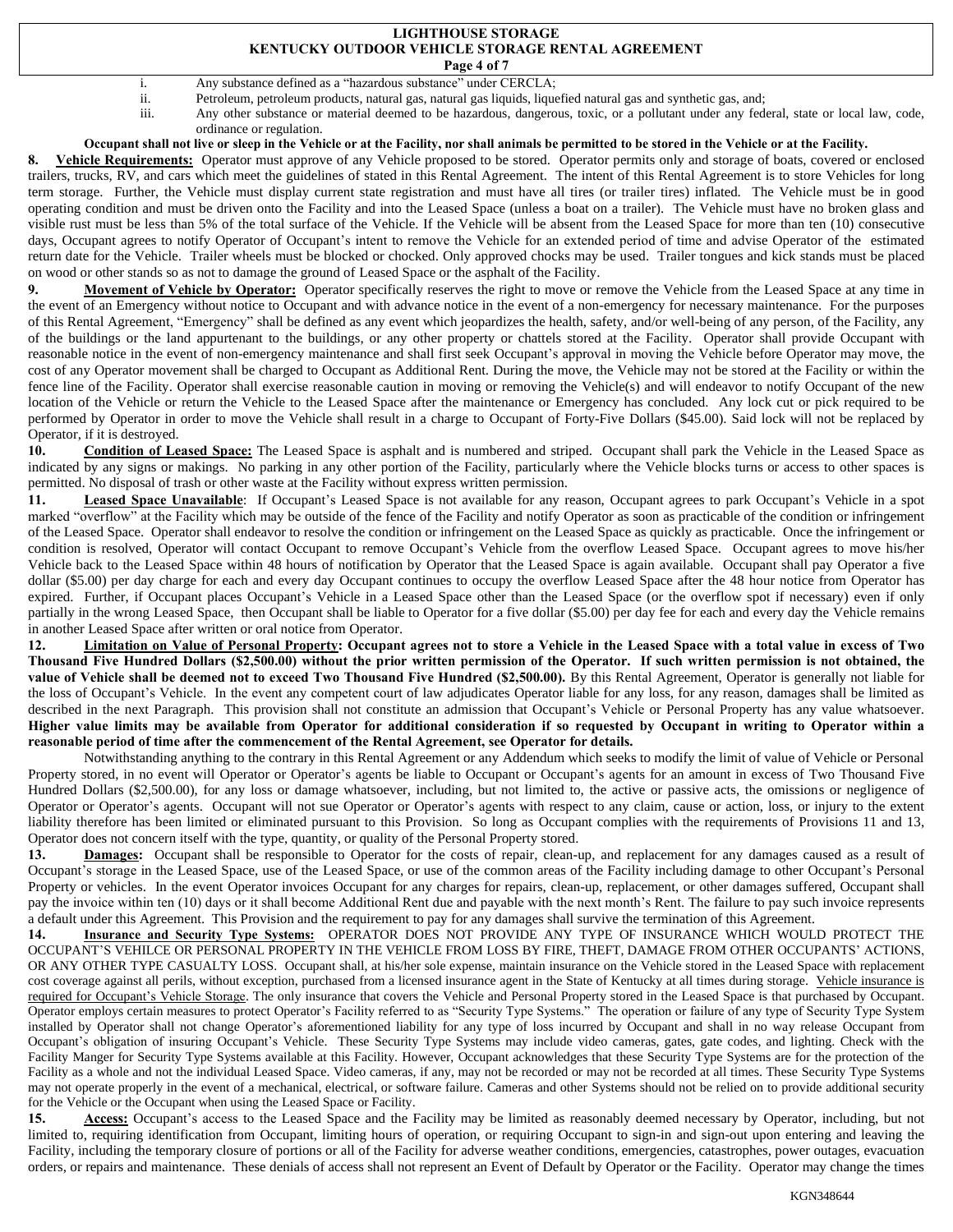## **LIGHTHOUSE STORAGE KENTUCKY OUTDOOR VEHICLE STORAGE RENTAL AGREEMENT**

- **Page 4 of 7**
- i. Any substance defined as a "hazardous substance" under CERCLA;
- ii. Petroleum, petroleum products, natural gas, natural gas liquids, liquefied natural gas and synthetic gas, and;
- iii. Any other substance or material deemed to be hazardous, dangerous, toxic, or a pollutant under any federal, state or local law, code, ordinance or regulation.

### **Occupant shall not live or sleep in the Vehicle or at the Facility, nor shall animals be permitted to be stored in the Vehicle or at the Facility.**

**8. Vehicle Requirements:** Operator must approve of any Vehicle proposed to be stored. Operator permits only and storage of boats, covered or enclosed trailers, trucks, RV, and cars which meet the guidelines of stated in this Rental Agreement. The intent of this Rental Agreement is to store Vehicles for long term storage. Further, the Vehicle must display current state registration and must have all tires (or trailer tires) inflated. The Vehicle must be in good operating condition and must be driven onto the Facility and into the Leased Space (unless a boat on a trailer). The Vehicle must have no broken glass and visible rust must be less than 5% of the total surface of the Vehicle. If the Vehicle will be absent from the Leased Space for more than ten (10) consecutive days, Occupant agrees to notify Operator of Occupant's intent to remove the Vehicle for an extended period of time and advise Operator of the estimated return date for the Vehicle.Trailer wheels must be blocked or chocked. Only approved chocks may be used.Trailer tongues and kick stands must be placed on wood or other stands so as not to damage the ground of Leased Space or the asphalt of the Facility.

**9. Movement of Vehicle by Operator:** Operator specifically reserves the right to move or remove the Vehicle from the Leased Space at any time in the event of an Emergency without notice to Occupant and with advance notice in the event of a non-emergency for necessary maintenance. For the purposes of this Rental Agreement, "Emergency" shall be defined as any event which jeopardizes the health, safety, and/or well-being of any person, of the Facility, any of the buildings or the land appurtenant to the buildings, or any other property or chattels stored at the Facility. Operator shall provide Occupant with reasonable notice in the event of non-emergency maintenance and shall first seek Occupant's approval in moving the Vehicle before Operator may move, the cost of any Operator movement shall be charged to Occupant as Additional Rent. During the move, the Vehicle may not be stored at the Facility or within the fence line of the Facility. Operator shall exercise reasonable caution in moving or removing the Vehicle(s) and will endeavor to notify Occupant of the new location of the Vehicle or return the Vehicle to the Leased Space after the maintenance or Emergency has concluded. Any lock cut or pick required to be performed by Operator in order to move the Vehicle shall result in a charge to Occupant of Forty-Five Dollars (\$45.00). Said lock will not be replaced by Operator, if it is destroyed.

**10. Condition of Leased Space:** The Leased Space is asphalt and is numbered and striped. Occupant shall park the Vehicle in the Leased Space as indicated by any signs or makings.No parking in any other portion of the Facility, particularly where the Vehicle blocks turns or access to other spaces is permitted. No disposal of trash or other waste at the Facility without express written permission.

**11. Leased Space Unavailable**: If Occupant's Leased Space is not available for any reason, Occupant agrees to park Occupant's Vehicle in a spot marked "overflow" at the Facility which may be outside of the fence of the Facility and notify Operator as soon as practicable of the condition or infringement of the Leased Space. Operator shall endeavor to resolve the condition or infringement on the Leased Space as quickly as practicable. Once the infringement or condition is resolved, Operator will contact Occupant to remove Occupant's Vehicle from the overflow Leased Space. Occupant agrees to move his/her Vehicle back to the Leased Space within 48 hours of notification by Operator that the Leased Space is again available. Occupant shall pay Operator a five dollar (\$5.00) per day charge for each and every day Occupant continues to occupy the overflow Leased Space after the 48 hour notice from Operator has expired. Further, if Occupant places Occupant's Vehicle in a Leased Space other than the Leased Space (or the overflow spot if necessary) even if only partially in the wrong Leased Space, then Occupant shall be liable to Operator for a five dollar (\$5.00) per day fee for each and every day the Vehicle remains in another Leased Space after written or oral notice from Operator.

**12. Limitation on Value of Personal Property: Occupant agrees not to store a Vehicle in the Leased Space with a total value in excess of Two Thousand Five Hundred Dollars (\$2,500.00) without the prior written permission of the Operator. If such written permission is not obtained, the value of Vehicle shall be deemed not to exceed Two Thousand Five Hundred (\$2,500.00).** By this Rental Agreement, Operator is generally not liable for the loss of Occupant's Vehicle. In the event any competent court of law adjudicates Operator liable for any loss, for any reason, damages shall be limited as described in the next Paragraph. This provision shall not constitute an admission that Occupant's Vehicle or Personal Property has any value whatsoever. **Higher value limits may be available from Operator for additional consideration if so requested by Occupant in writing to Operator within a reasonable period of time after the commencement of the Rental Agreement, see Operator for details.**

Notwithstanding anything to the contrary in this Rental Agreement or any Addendum which seeks to modify the limit of value of Vehicle or Personal Property stored, in no event will Operator or Operator's agents be liable to Occupant or Occupant's agents for an amount in excess of Two Thousand Five Hundred Dollars (\$2,500.00), for any loss or damage whatsoever, including, but not limited to, the active or passive acts, the omissions or negligence of Operator or Operator's agents. Occupant will not sue Operator or Operator's agents with respect to any claim, cause or action, loss, or injury to the extent liability therefore has been limited or eliminated pursuant to this Provision. So long as Occupant complies with the requirements of Provisions 11 and 13, Operator does not concern itself with the type, quantity, or quality of the Personal Property stored.

13. **Damages:** Occupant shall be responsible to Operator for the costs of repair, clean-up, and replacement for any damages caused as a result of Occupant's storage in the Leased Space, use of the Leased Space, or use of the common areas of the Facility including damage to other Occupant's Personal Property or vehicles. In the event Operator invoices Occupant for any charges for repairs, clean-up, replacement, or other damages suffered, Occupant shall pay the invoice within ten (10) days or it shall become Additional Rent due and payable with the next month's Rent. The failure to pay such invoice represents a default under this Agreement. This Provision and the requirement to pay for any damages shall survive the termination of this Agreement.

**14. Insurance and Security Type Systems:** OPERATOR DOES NOT PROVIDE ANY TYPE OF INSURANCE WHICH WOULD PROTECT THE OCCUPANT'S VEHILCE OR PERSONAL PROPERTY IN THE VEHICLE FROM LOSS BY FIRE, THEFT, DAMAGE FROM OTHER OCCUPANTS' ACTIONS, OR ANY OTHER TYPE CASUALTY LOSS. Occupant shall, at his/her sole expense, maintain insurance on the Vehicle stored in the Leased Space with replacement cost coverage against all perils, without exception, purchased from a licensed insurance agent in the State of Kentucky at all times during storage. Vehicle insurance is required for Occupant's Vehicle Storage. The only insurance that covers the Vehicle and Personal Property stored in the Leased Space is that purchased by Occupant. Operator employs certain measures to protect Operator's Facility referred to as "Security Type Systems." The operation or failure of any type of Security Type System installed by Operator shall not change Operator's aforementioned liability for any type of loss incurred by Occupant and shall in no way release Occupant from Occupant's obligation of insuring Occupant's Vehicle. These Security Type Systems may include video cameras, gates, gate codes, and lighting. Check with the Facility Manger for Security Type Systems available at this Facility. However, Occupant acknowledges that these Security Type Systems are for the protection of the Facility as a whole and not the individual Leased Space. Video cameras, if any, may not be recorded or may not be recorded at all times. These Security Type Systems may not operate properly in the event of a mechanical, electrical, or software failure. Cameras and other Systems should not be relied on to provide additional security for the Vehicle or the Occupant when using the Leased Space or Facility.

15. Access: Occupant's access to the Leased Space and the Facility may be limited as reasonably deemed necessary by Operator, including, but not limited to, requiring identification from Occupant, limiting hours of operation, or requiring Occupant to sign-in and sign-out upon entering and leaving the Facility, including the temporary closure of portions or all of the Facility for adverse weather conditions, emergencies, catastrophes, power outages, evacuation orders, or repairs and maintenance. These denials of access shall not represent an Event of Default by Operator or the Facility. Operator may change the times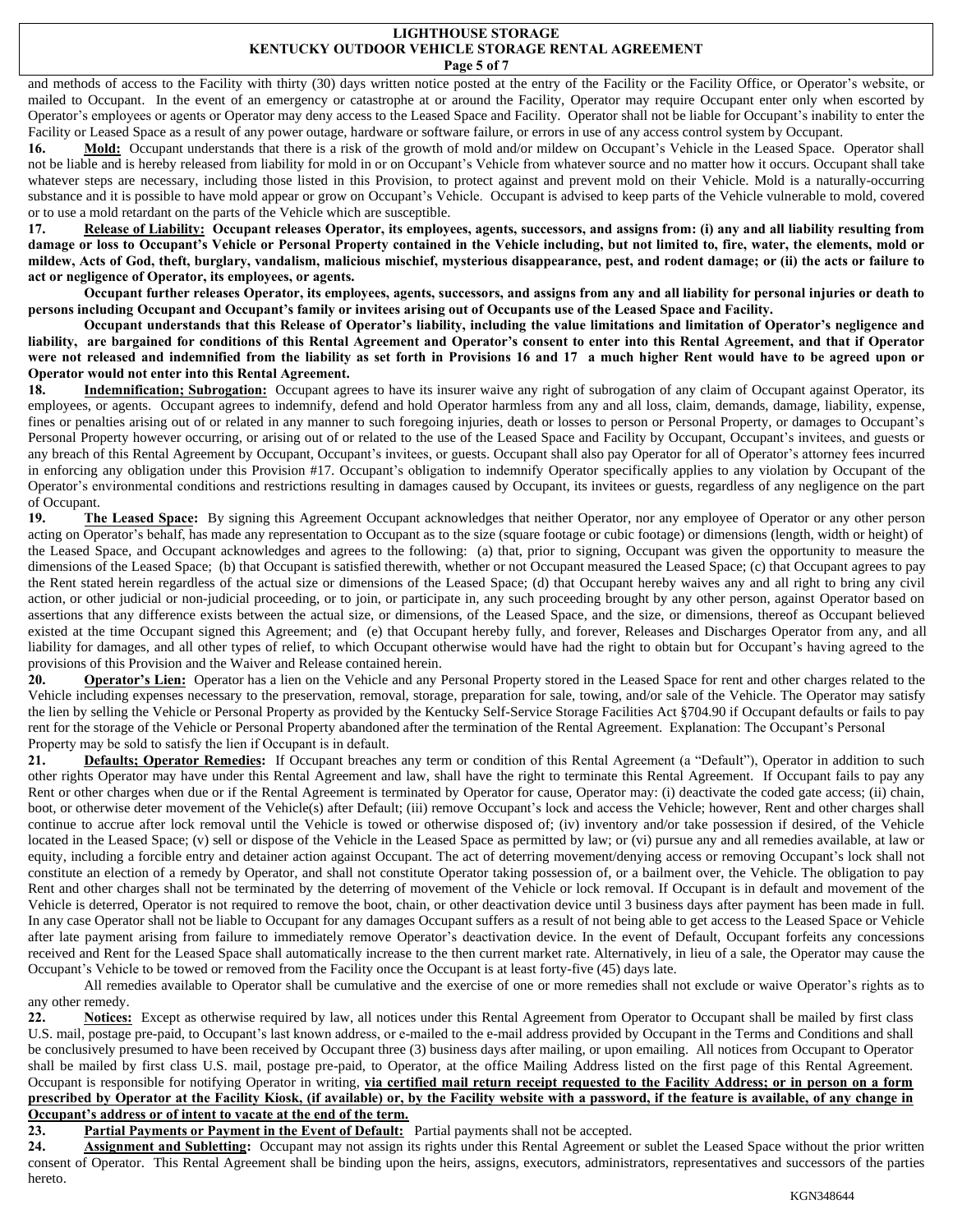#### **LIGHTHOUSE STORAGE KENTUCKY OUTDOOR VEHICLE STORAGE RENTAL AGREEMENT Page 5 of 7**

and methods of access to the Facility with thirty (30) days written notice posted at the entry of the Facility or the Facility Office, or Operator's website, or mailed to Occupant. In the event of an emergency or catastrophe at or around the Facility, Operator may require Occupant enter only when escorted by Operator's employees or agents or Operator may deny access to the Leased Space and Facility. Operator shall not be liable for Occupant's inability to enter the Facility or Leased Space as a result of any power outage, hardware or software failure, or errors in use of any access control system by Occupant.

16. Mold: Occupant understands that there is a risk of the growth of mold and/or mildew on Occupant's Vehicle in the Leased Space. Operator shall not be liable and is hereby released from liability for mold in or on Occupant's Vehicle from whatever source and no matter how it occurs. Occupant shall take whatever steps are necessary, including those listed in this Provision, to protect against and prevent mold on their Vehicle. Mold is a naturally-occurring substance and it is possible to have mold appear or grow on Occupant's Vehicle. Occupant is advised to keep parts of the Vehicle vulnerable to mold, covered or to use a mold retardant on the parts of the Vehicle which are susceptible.

**17. Release of Liability: Occupant releases Operator, its employees, agents, successors, and assigns from: (i) any and all liability resulting from damage or loss to Occupant's Vehicle or Personal Property contained in the Vehicle including, but not limited to, fire, water, the elements, mold or mildew, Acts of God, theft, burglary, vandalism, malicious mischief, mysterious disappearance, pest, and rodent damage; or (ii) the acts or failure to act or negligence of Operator, its employees, or agents.**

**Occupant further releases Operator, its employees, agents, successors, and assigns from any and all liability for personal injuries or death to persons including Occupant and Occupant's family or invitees arising out of Occupants use of the Leased Space and Facility.** 

**Occupant understands that this Release of Operator's liability, including the value limitations and limitation of Operator's negligence and liability, are bargained for conditions of this Rental Agreement and Operator's consent to enter into this Rental Agreement, and that if Operator were not released and indemnified from the liability as set forth in Provisions 16 and 17 a much higher Rent would have to be agreed upon or Operator would not enter into this Rental Agreement.** 

**18. Indemnification; Subrogation:** Occupant agrees to have its insurer waive any right of subrogation of any claim of Occupant against Operator, its employees, or agents. Occupant agrees to indemnify, defend and hold Operator harmless from any and all loss, claim, demands, damage, liability, expense, fines or penalties arising out of or related in any manner to such foregoing injuries, death or losses to person or Personal Property, or damages to Occupant's Personal Property however occurring, or arising out of or related to the use of the Leased Space and Facility by Occupant, Occupant's invitees, and guests or any breach of this Rental Agreement by Occupant, Occupant's invitees, or guests. Occupant shall also pay Operator for all of Operator's attorney fees incurred in enforcing any obligation under this Provision #17. Occupant's obligation to indemnify Operator specifically applies to any violation by Occupant of the Operator's environmental conditions and restrictions resulting in damages caused by Occupant, its invitees or guests, regardless of any negligence on the part of Occupant.

**19. The Leased Space:** By signing this Agreement Occupant acknowledges that neither Operator, nor any employee of Operator or any other person acting on Operator's behalf, has made any representation to Occupant as to the size (square footage or cubic footage) or dimensions (length, width or height) of the Leased Space, and Occupant acknowledges and agrees to the following: (a) that, prior to signing, Occupant was given the opportunity to measure the dimensions of the Leased Space; (b) that Occupant is satisfied therewith, whether or not Occupant measured the Leased Space; (c) that Occupant agrees to pay the Rent stated herein regardless of the actual size or dimensions of the Leased Space; (d) that Occupant hereby waives any and all right to bring any civil action, or other judicial or non-judicial proceeding, or to join, or participate in, any such proceeding brought by any other person, against Operator based on assertions that any difference exists between the actual size, or dimensions, of the Leased Space, and the size, or dimensions, thereof as Occupant believed existed at the time Occupant signed this Agreement; and (e) that Occupant hereby fully, and forever, Releases and Discharges Operator from any, and all liability for damages, and all other types of relief, to which Occupant otherwise would have had the right to obtain but for Occupant's having agreed to the provisions of this Provision and the Waiver and Release contained herein.

**20. Operator's Lien:** Operator has a lien on the Vehicle and any Personal Property stored in the Leased Space for rent and other charges related to the Vehicle including expenses necessary to the preservation, removal, storage, preparation for sale, towing, and/or sale of the Vehicle. The Operator may satisfy the lien by selling the Vehicle or Personal Property as provided by the Kentucky Self-Service Storage Facilities Act §704.90 if Occupant defaults or fails to pay rent for the storage of the Vehicle or Personal Property abandoned after the termination of the Rental Agreement. Explanation: The Occupant's Personal Property may be sold to satisfy the lien if Occupant is in default.

**21. Defaults; Operator Remedies:** If Occupant breaches any term or condition of this Rental Agreement (a "Default"), Operator in addition to such other rights Operator may have under this Rental Agreement and law, shall have the right to terminate this Rental Agreement. If Occupant fails to pay any Rent or other charges when due or if the Rental Agreement is terminated by Operator for cause, Operator may: (i) deactivate the coded gate access; (ii) chain, boot, or otherwise deter movement of the Vehicle(s) after Default; (iii) remove Occupant's lock and access the Vehicle; however, Rent and other charges shall continue to accrue after lock removal until the Vehicle is towed or otherwise disposed of; (iv) inventory and/or take possession if desired, of the Vehicle located in the Leased Space; (v) sell or dispose of the Vehicle in the Leased Space as permitted by law; or (vi) pursue any and all remedies available, at law or equity, including a forcible entry and detainer action against Occupant. The act of deterring movement/denying access or removing Occupant's lock shall not constitute an election of a remedy by Operator, and shall not constitute Operator taking possession of, or a bailment over, the Vehicle. The obligation to pay Rent and other charges shall not be terminated by the deterring of movement of the Vehicle or lock removal. If Occupant is in default and movement of the Vehicle is deterred, Operator is not required to remove the boot, chain, or other deactivation device until 3 business days after payment has been made in full. In any case Operator shall not be liable to Occupant for any damages Occupant suffers as a result of not being able to get access to the Leased Space or Vehicle after late payment arising from failure to immediately remove Operator's deactivation device. In the event of Default, Occupant forfeits any concessions received and Rent for the Leased Space shall automatically increase to the then current market rate. Alternatively, in lieu of a sale, the Operator may cause the Occupant's Vehicle to be towed or removed from the Facility once the Occupant is at least forty-five (45) days late.

All remedies available to Operator shall be cumulative and the exercise of one or more remedies shall not exclude or waive Operator's rights as to any other remedy.

22. **Notices:** Except as otherwise required by law, all notices under this Rental Agreement from Operator to Occupant shall be mailed by first class U.S. mail, postage pre-paid, to Occupant's last known address, or e-mailed to the e-mail address provided by Occupant in the Terms and Conditions and shall be conclusively presumed to have been received by Occupant three (3) business days after mailing, or upon emailing. All notices from Occupant to Operator shall be mailed by first class U.S. mail, postage pre-paid, to Operator, at the office Mailing Address listed on the first page of this Rental Agreement. Occupant is responsible for notifying Operator in writing, **via certified mail return receipt requested to the Facility Address; or in person on a form prescribed by Operator at the Facility Kiosk, (if available) or, by the Facility website with a password, if the feature is available, of any change in Occupant's address or of intent to vacate at the end of the term.**

23. **Partial Payments or Payment in the Event of Default:** Partial payments shall not be accepted.

24. **Assignment and Subletting:** Occupant may not assign its rights under this Rental Agreement or sublet the Leased Space without the prior written consent of Operator. This Rental Agreement shall be binding upon the heirs, assigns, executors, administrators, representatives and successors of the parties hereto.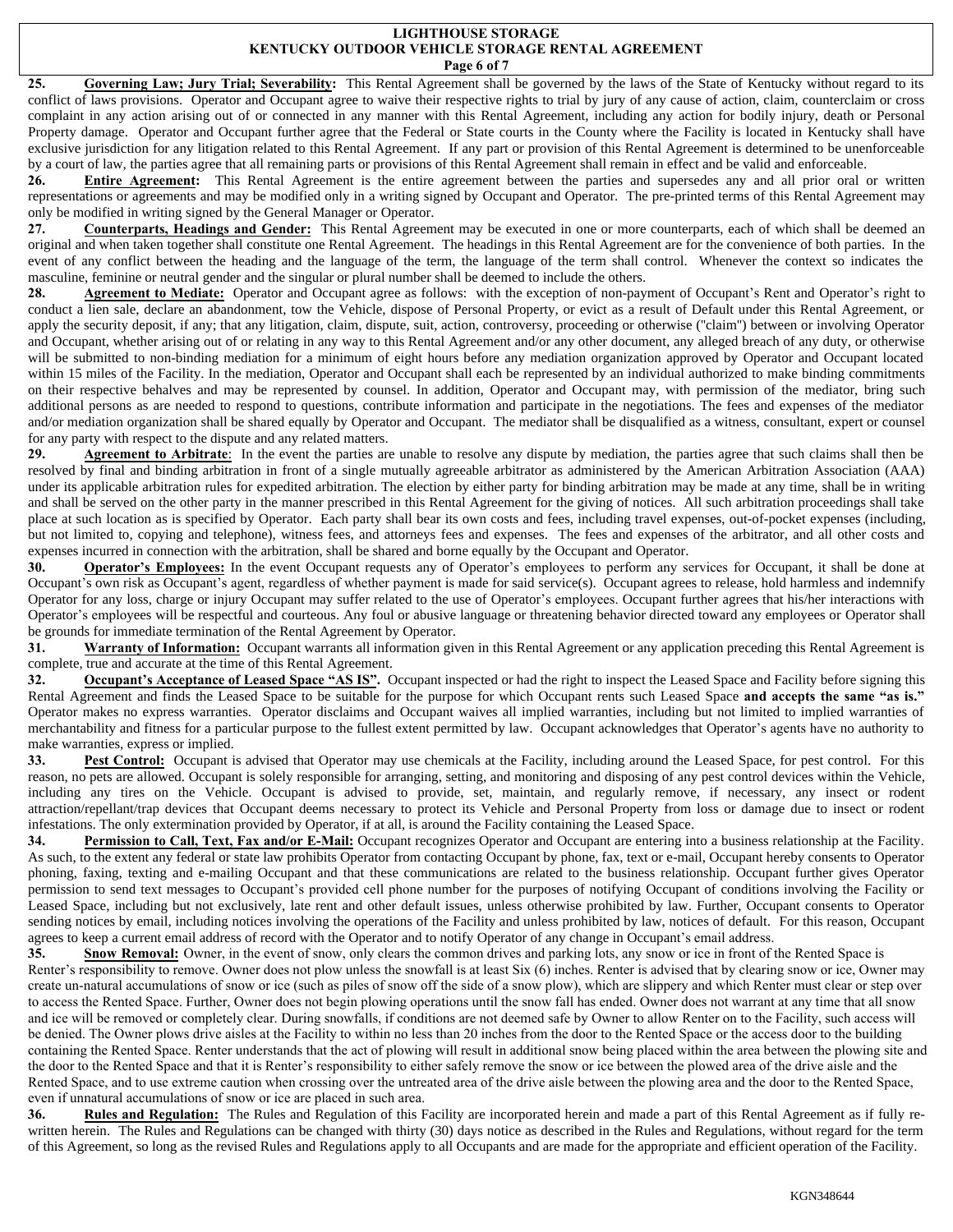#### **LIGHTHOUSE STORAGE KENTUCKY OUTDOOR VEHICLE STORAGE RENTAL AGREEMENT Page 6 of 7**

25. Governing Law; Jury Trial; Severability: This Rental Agreement shall be governed by the laws of the State of Kentucky without regard to its conflict of laws provisions. Operator and Occupant agree to waive their respective rights to trial by jury of any cause of action, claim, counterclaim or cross complaint in any action arising out of or connected in any manner with this Rental Agreement, including any action for bodily injury, death or Personal Property damage. Operator and Occupant further agree that the Federal or State courts in the County where the Facility is located in Kentucky shall have exclusive jurisdiction for any litigation related to this Rental Agreement. If any part or provision of this Rental Agreement is determined to be unenforceable by a court of law, the parties agree that all remaining parts or provisions of this Rental Agreement shall remain in effect and be valid and enforceable.

**26. Entire Agreement:** This Rental Agreement is the entire agreement between the parties and supersedes any and all prior oral or written representations or agreements and may be modified only in a writing signed by Occupant and Operator. The pre-printed terms of this Rental Agreement may only be modified in writing signed by the General Manager or Operator.

**27. Counterparts, Headings and Gender:** This Rental Agreement may be executed in one or more counterparts, each of which shall be deemed an original and when taken together shall constitute one Rental Agreement. The headings in this Rental Agreement are for the convenience of both parties. In the event of any conflict between the heading and the language of the term, the language of the term shall control. Whenever the context so indicates the masculine, feminine or neutral gender and the singular or plural number shall be deemed to include the others.

28. **Agreement to Mediate:** Operator and Occupant agree as follows: with the exception of non-payment of Occupant's Rent and Operator's right to conduct a lien sale, declare an abandonment, tow the Vehicle, dispose of Personal Property, or evict as a result of Default under this Rental Agreement, or apply the security deposit, if any; that any litigation, claim, dispute, suit, action, controversy, proceeding or otherwise ("claim") between or involving Operator and Occupant, whether arising out of or relating in any way to this Rental Agreement and/or any other document, any alleged breach of any duty, or otherwise will be submitted to non-binding mediation for a minimum of eight hours before any mediation organization approved by Operator and Occupant located within 15 miles of the Facility. In the mediation, Operator and Occupant shall each be represented by an individual authorized to make binding commitments on their respective behalves and may be represented by counsel. In addition, Operator and Occupant may, with permission of the mediator, bring such additional persons as are needed to respond to questions, contribute information and participate in the negotiations. The fees and expenses of the mediator and/or mediation organization shall be shared equally by Operator and Occupant. The mediator shall be disqualified as a witness, consultant, expert or counsel for any party with respect to the dispute and any related matters.

29. **Agreement to Arbitrate**: In the event the parties are unable to resolve any dispute by mediation, the parties agree that such claims shall then be resolved by final and binding arbitration in front of a single mutually agreeable arbitrator as administered by the American Arbitration Association (AAA) under its applicable arbitration rules for expedited arbitration. The election by either party for binding arbitration may be made at any time, shall be in writing and shall be served on the other party in the manner prescribed in this Rental Agreement for the giving of notices. All such arbitration proceedings shall take place at such location as is specified by Operator. Each party shall bear its own costs and fees, including travel expenses, out-of-pocket expenses (including, but not limited to, copying and telephone), witness fees, and attorneys fees and expenses. The fees and expenses of the arbitrator, and all other costs and expenses incurred in connection with the arbitration, shall be shared and borne equally by the Occupant and Operator.

**30. Operator's Employees:** In the event Occupant requests any of Operator's employees to perform any services for Occupant, it shall be done at Occupant's own risk as Occupant's agent, regardless of whether payment is made for said service(s). Occupant agrees to release, hold harmless and indemnify Operator for any loss, charge or injury Occupant may suffer related to the use of Operator's employees. Occupant further agrees that his/her interactions with Operator's employees will be respectful and courteous. Any foul or abusive language or threatening behavior directed toward any employees or Operator shall be grounds for immediate termination of the Rental Agreement by Operator.

**31. Warranty of Information:** Occupant warrants all information given in this Rental Agreement or any application preceding this Rental Agreement is complete, true and accurate at the time of this Rental Agreement.

**32. Occupant's Acceptance of Leased Space "AS IS".** Occupant inspected or had the right to inspect the Leased Space and Facility before signing this Rental Agreement and finds the Leased Space to be suitable for the purpose for which Occupant rents such Leased Space **and accepts the same "as is."** Operator makes no express warranties. Operator disclaims and Occupant waives all implied warranties, including but not limited to implied warranties of merchantability and fitness for a particular purpose to the fullest extent permitted by law. Occupant acknowledges that Operator's agents have no authority to make warranties, express or implied.

**33. Pest Control:** Occupant is advised that Operator may use chemicals at the Facility, including around the Leased Space, for pest control. For this reason, no pets are allowed. Occupant is solely responsible for arranging, setting, and monitoring and disposing of any pest control devices within the Vehicle, including any tires on the Vehicle. Occupant is advised to provide, set, maintain, and regularly remove, if necessary, any insect or rodent attraction/repellant/trap devices that Occupant deems necessary to protect its Vehicle and Personal Property from loss or damage due to insect or rodent infestations. The only extermination provided by Operator, if at all, is around the Facility containing the Leased Space.

**34. Permission to Call, Text, Fax and/or E-Mail:** Occupant recognizes Operator and Occupant are entering into a business relationship at the Facility. As such, to the extent any federal or state law prohibits Operator from contacting Occupant by phone, fax, text or e-mail, Occupant hereby consents to Operator phoning, faxing, texting and e-mailing Occupant and that these communications are related to the business relationship. Occupant further gives Operator permission to send text messages to Occupant's provided cell phone number for the purposes of notifying Occupant of conditions involving the Facility or Leased Space, including but not exclusively, late rent and other default issues, unless otherwise prohibited by law. Further, Occupant consents to Operator sending notices by email, including notices involving the operations of the Facility and unless prohibited by law, notices of default. For this reason, Occupant agrees to keep a current email address of record with the Operator and to notify Operator of any change in Occupant's email address.

**35. Snow Removal:** Owner, in the event of snow, only clears the common drives and parking lots, any snow or ice in front of the Rented Space is Renter's responsibility to remove. Owner does not plow unless the snowfall is at least Six (6) inches. Renter is advised that by clearing snow or ice, Owner may create un-natural accumulations of snow or ice (such as piles of snow off the side of a snow plow), which are slippery and which Renter must clear or step over to access the Rented Space. Further, Owner does not begin plowing operations until the snow fall has ended. Owner does not warrant at any time that all snow and ice will be removed or completely clear. During snowfalls, if conditions are not deemed safe by Owner to allow Renter on to the Facility, such access will be denied. The Owner plows drive aisles at the Facility to within no less than 20 inches from the door to the Rented Space or the access door to the building containing the Rented Space. Renter understands that the act of plowing will result in additional snow being placed within the area between the plowing site and the door to the Rented Space and that it is Renter's responsibility to either safely remove the snow or ice between the plowed area of the drive aisle and the Rented Space, and to use extreme caution when crossing over the untreated area of the drive aisle between the plowing area and the door to the Rented Space, even if unnatural accumulations of snow or ice are placed in such area.

**36. Rules and Regulation:** The Rules and Regulation of this Facility are incorporated herein and made a part of this Rental Agreement as if fully rewritten herein. The Rules and Regulations can be changed with thirty (30) days notice as described in the Rules and Regulations, without regard for the term of this Agreement, so long as the revised Rules and Regulations apply to all Occupants and are made for the appropriate and efficient operation of the Facility.